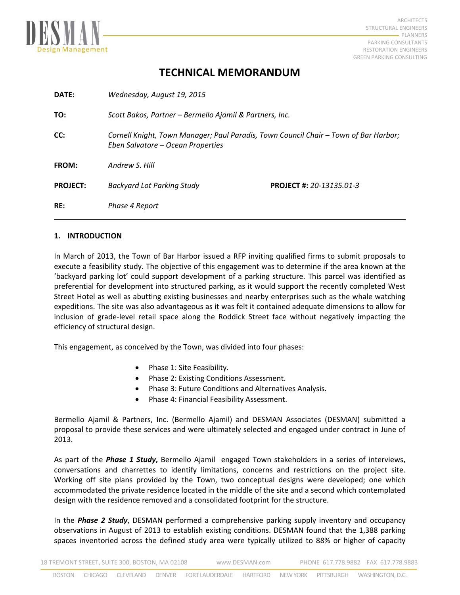

# **TECHNICAL MEMORANDUM**

| RE:             | Phase 4 Report                                                                                                            |                                 |
|-----------------|---------------------------------------------------------------------------------------------------------------------------|---------------------------------|
| <b>PROJECT:</b> | Backyard Lot Parking Study                                                                                                | <b>PROJECT #: 20-13135.01-3</b> |
| <b>FROM:</b>    | Andrew S. Hill                                                                                                            |                                 |
| CC:             | Cornell Knight, Town Manager; Paul Paradis, Town Council Chair - Town of Bar Harbor;<br>Eben Salvatore – Ocean Properties |                                 |
| TO:             | Scott Bakos, Partner - Bermello Ajamil & Partners, Inc.                                                                   |                                 |
| DATE:           | Wednesday, August 19, 2015                                                                                                |                                 |

# **1. INTRODUCTION**

In March of 2013, the Town of Bar Harbor issued a RFP inviting qualified firms to submit proposals to execute a feasibility study. The objective of this engagement was to determine if the area known at the 'backyard parking lot' could support development of a parking structure. This parcel was identified as preferential for development into structured parking, as it would support the recently completed West Street Hotel as well as abutting existing businesses and nearby enterprises such as the whale watching expeditions. The site was also advantageous as it was felt it contained adequate dimensions to allow for inclusion of grade‐level retail space along the Roddick Street face without negatively impacting the efficiency of structural design.

This engagement, as conceived by the Town, was divided into four phases:

- Phase 1: Site Feasibility.
- Phase 2: Existing Conditions Assessment.
- Phase 3: Future Conditions and Alternatives Analysis.
- Phase 4: Financial Feasibility Assessment.

Bermello Ajamil & Partners, Inc. (Bermello Ajamil) and DESMAN Associates (DESMAN) submitted a proposal to provide these services and were ultimately selected and engaged under contract in June of 2013.

As part of the *Phase 1 Study***,** Bermello Ajamil engaged Town stakeholders in a series of interviews, conversations and charrettes to identify limitations, concerns and restrictions on the project site. Working off site plans provided by the Town, two conceptual designs were developed; one which accommodated the private residence located in the middle of the site and a second which contemplated design with the residence removed and a consolidated footprint for the structure.

In the *Phase 2 Study*, DESMAN performed a comprehensive parking supply inventory and occupancy observations in August of 2013 to establish existing conditions. DESMAN found that the 1,388 parking spaces inventoried across the defined study area were typically utilized to 88% or higher of capacity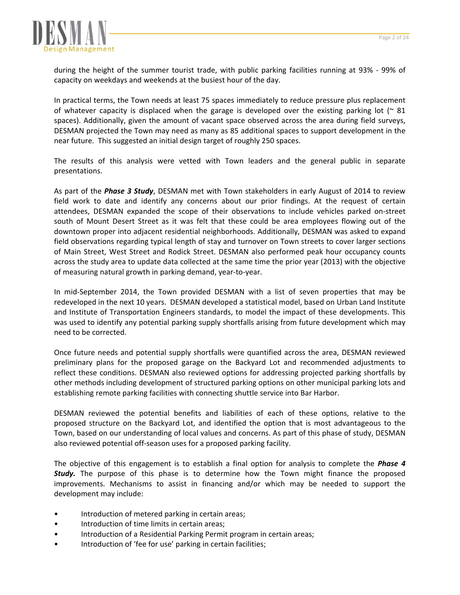

during the height of the summer tourist trade, with public parking facilities running at 93% - 99% of capacity on weekdays and weekends at the busiest hour of the day.

In practical terms, the Town needs at least 75 spaces immediately to reduce pressure plus replacement of whatever capacity is displaced when the garage is developed over the existing parking lot ( $\approx 81$ ) spaces). Additionally, given the amount of vacant space observed across the area during field surveys, DESMAN projected the Town may need as many as 85 additional spaces to support development in the near future. This suggested an initial design target of roughly 250 spaces.

The results of this analysis were vetted with Town leaders and the general public in separate presentations.

As part of the *Phase 3 Study*, DESMAN met with Town stakeholders in early August of 2014 to review field work to date and identify any concerns about our prior findings. At the request of certain attendees, DESMAN expanded the scope of their observations to include vehicles parked on‐street south of Mount Desert Street as it was felt that these could be area employees flowing out of the downtown proper into adjacent residential neighborhoods. Additionally, DESMAN was asked to expand field observations regarding typical length of stay and turnover on Town streets to cover larger sections of Main Street, West Street and Rodick Street. DESMAN also performed peak hour occupancy counts across the study area to update data collected at the same time the prior year (2013) with the objective of measuring natural growth in parking demand, year‐to‐year.

In mid-September 2014, the Town provided DESMAN with a list of seven properties that may be redeveloped in the next 10 years. DESMAN developed a statistical model, based on Urban Land Institute and Institute of Transportation Engineers standards, to model the impact of these developments. This was used to identify any potential parking supply shortfalls arising from future development which may need to be corrected.

Once future needs and potential supply shortfalls were quantified across the area, DESMAN reviewed preliminary plans for the proposed garage on the Backyard Lot and recommended adjustments to reflect these conditions. DESMAN also reviewed options for addressing projected parking shortfalls by other methods including development of structured parking options on other municipal parking lots and establishing remote parking facilities with connecting shuttle service into Bar Harbor.

DESMAN reviewed the potential benefits and liabilities of each of these options, relative to the proposed structure on the Backyard Lot, and identified the option that is most advantageous to the Town, based on our understanding of local values and concerns. As part of this phase of study, DESMAN also reviewed potential off‐season uses for a proposed parking facility.

The objective of this engagement is to establish a final option for analysis to complete the *Phase 4 Study.* The purpose of this phase is to determine how the Town might finance the proposed improvements. Mechanisms to assist in financing and/or which may be needed to support the development may include:

- Introduction of metered parking in certain areas;
- Introduction of time limits in certain areas;
- Introduction of a Residential Parking Permit program in certain areas;
- Introduction of 'fee for use' parking in certain facilities;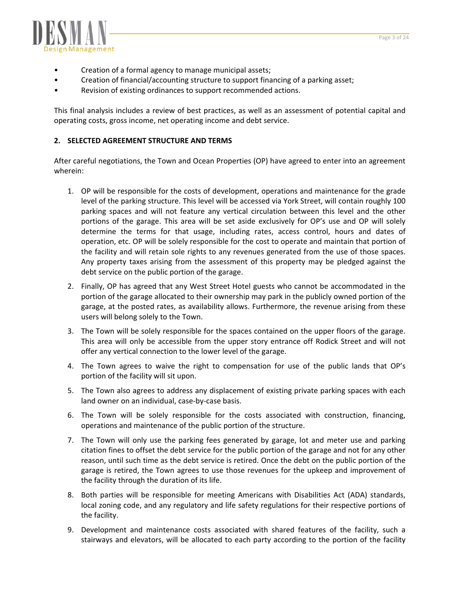

- Creation of a formal agency to manage municipal assets;
- Creation of financial/accounting structure to support financing of a parking asset;
- Revision of existing ordinances to support recommended actions.

This final analysis includes a review of best practices, as well as an assessment of potential capital and operating costs, gross income, net operating income and debt service.

# **2. SELECTED AGREEMENT STRUCTURE AND TERMS**

After careful negotiations, the Town and Ocean Properties (OP) have agreed to enter into an agreement wherein:

- 1. OP will be responsible for the costs of development, operations and maintenance for the grade level of the parking structure. This level will be accessed via York Street, will contain roughly 100 parking spaces and will not feature any vertical circulation between this level and the other portions of the garage. This area will be set aside exclusively for OP's use and OP will solely determine the terms for that usage, including rates, access control, hours and dates of operation, etc. OP will be solely responsible for the cost to operate and maintain that portion of the facility and will retain sole rights to any revenues generated from the use of those spaces. Any property taxes arising from the assessment of this property may be pledged against the debt service on the public portion of the garage.
- 2. Finally, OP has agreed that any West Street Hotel guests who cannot be accommodated in the portion of the garage allocated to their ownership may park in the publicly owned portion of the garage, at the posted rates, as availability allows. Furthermore, the revenue arising from these users will belong solely to the Town.
- 3. The Town will be solely responsible for the spaces contained on the upper floors of the garage. This area will only be accessible from the upper story entrance off Rodick Street and will not offer any vertical connection to the lower level of the garage.
- 4. The Town agrees to waive the right to compensation for use of the public lands that OP's portion of the facility will sit upon.
- 5. The Town also agrees to address any displacement of existing private parking spaces with each land owner on an individual, case‐by‐case basis.
- 6. The Town will be solely responsible for the costs associated with construction, financing, operations and maintenance of the public portion of the structure.
- 7. The Town will only use the parking fees generated by garage, lot and meter use and parking citation fines to offset the debt service for the public portion of the garage and not for any other reason, until such time as the debt service is retired. Once the debt on the public portion of the garage is retired, the Town agrees to use those revenues for the upkeep and improvement of the facility through the duration of its life.
- 8. Both parties will be responsible for meeting Americans with Disabilities Act (ADA) standards, local zoning code, and any regulatory and life safety regulations for their respective portions of the facility.
- 9. Development and maintenance costs associated with shared features of the facility, such a stairways and elevators, will be allocated to each party according to the portion of the facility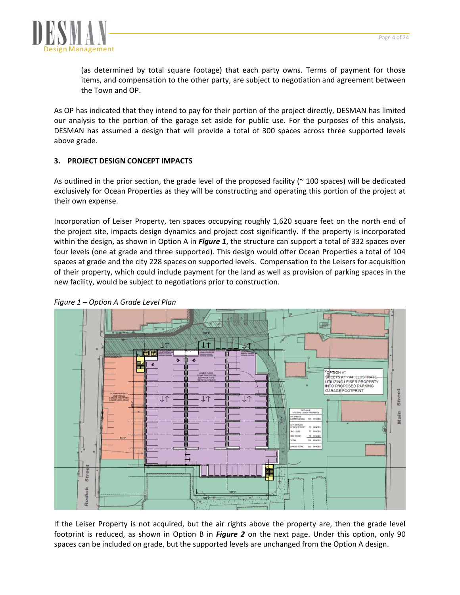

(as determined by total square footage) that each party owns. Terms of payment for those items, and compensation to the other party, are subject to negotiation and agreement between the Town and OP.

As OP has indicated that they intend to pay for their portion of the project directly, DESMAN has limited our analysis to the portion of the garage set aside for public use. For the purposes of this analysis, DESMAN has assumed a design that will provide a total of 300 spaces across three supported levels above grade.

# **3. PROJECT DESIGN CONCEPT IMPACTS**

As outlined in the prior section, the grade level of the proposed facility ( $\sim$  100 spaces) will be dedicated exclusively for Ocean Properties as they will be constructing and operating this portion of the project at their own expense.

Incorporation of Leiser Property, ten spaces occupying roughly 1,620 square feet on the north end of the project site, impacts design dynamics and project cost significantly. If the property is incorporated within the design, as shown in Option A in *Figure 1*, the structure can support a total of 332 spaces over four levels (one at grade and three supported). This design would offer Ocean Properties a total of 104 spaces at grade and the city 228 spaces on supported levels. Compensation to the Leisers for acquisition of their property, which could include payment for the land as well as provision of parking spaces in the new facility, would be subject to negotiations prior to construction.



*Figure 1 – Option A Grade Level Plan* 

If the Leiser Property is not acquired, but the air rights above the property are, then the grade level footprint is reduced, as shown in Option B in *Figure 2* on the next page. Under this option, only 90 spaces can be included on grade, but the supported levels are unchanged from the Option A design.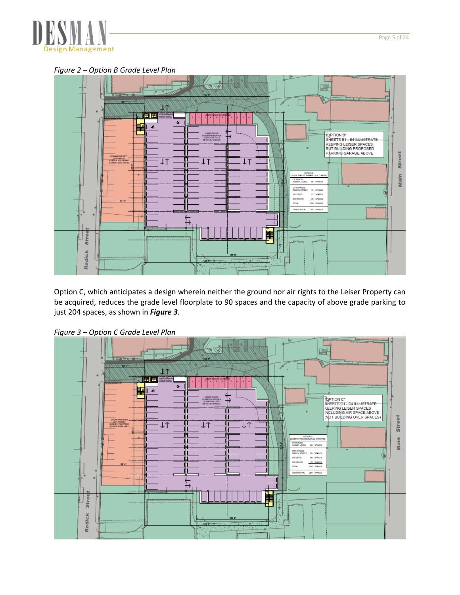

*Figure 2 – Option B Grade Level Plan* 



Option C, which anticipates a design wherein neither the ground nor air rights to the Leiser Property can be acquired, reduces the grade level floorplate to 90 spaces and the capacity of above grade parking to just 204 spaces, as shown in *Figure 3*.



*Figure 3 – Option C Grade Level Plan*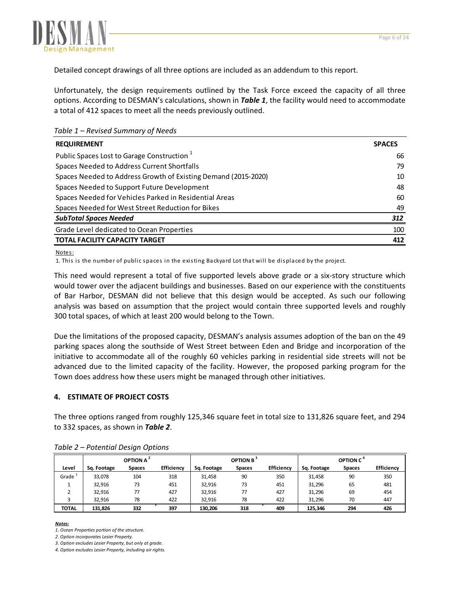

Detailed concept drawings of all three options are included as an addendum to this report.

Unfortunately, the design requirements outlined by the Task Force exceed the capacity of all three options. According to DESMAN's calculations, shown in *Table 1*, the facility would need to accommodate a total of 412 spaces to meet all the needs previously outlined.

*Table 1 – Revised Summary of Needs*

| <b>REQUIREMENT</b>                                             | <b>SPACES</b> |
|----------------------------------------------------------------|---------------|
| Public Spaces Lost to Garage Construction <sup>1</sup>         | 66            |
| Spaces Needed to Address Current Shortfalls                    | 79            |
| Spaces Needed to Address Growth of Existing Demand (2015-2020) | 10            |
| Spaces Needed to Support Future Development                    | 48            |
| Spaces Needed for Vehicles Parked in Residential Areas         | 60            |
| Spaces Needed for West Street Reduction for Bikes              | 49            |
| <b>SubTotal Spaces Needed</b>                                  | 312           |
| Grade Level dedicated to Ocean Properties                      | 100           |
| TOTAL FACILITY CAPACITY TARGET                                 | 412           |

Notes:

1. This is the number of public spaces in the existing Backyard Lot that will be displaced by the project.

This need would represent a total of five supported levels above grade or a six‐story structure which would tower over the adjacent buildings and businesses. Based on our experience with the constituents of Bar Harbor, DESMAN did not believe that this design would be accepted. As such our following analysis was based on assumption that the project would contain three supported levels and roughly 300 total spaces, of which at least 200 would belong to the Town.

Due the limitations of the proposed capacity, DESMAN's analysis assumes adoption of the ban on the 49 parking spaces along the southside of West Street between Eden and Bridge and incorporation of the initiative to accommodate all of the roughly 60 vehicles parking in residential side streets will not be advanced due to the limited capacity of the facility. However, the proposed parking program for the Town does address how these users might be managed through other initiatives.

# **4. ESTIMATE OF PROJECT COSTS**

The three options ranged from roughly 125,346 square feet in total size to 131,826 square feet, and 294 to 332 spaces, as shown in *Table 2*.

|              |             | OPTION A <sup>2</sup> |            |             | OPTION B <sup>3</sup> |                   |             | OPTION C <sup>4</sup> |            |
|--------------|-------------|-----------------------|------------|-------------|-----------------------|-------------------|-------------|-----------------------|------------|
| Level        | Sq. Footage | <b>Spaces</b>         | Efficiency | Sq. Footage | <b>Spaces</b>         | <b>Efficiency</b> | Sq. Footage | <b>Spaces</b>         | Efficiency |
| Grade        | 33,078      | 104                   | 318        | 31,458      | 90                    | 350               | 31,458      | 90                    | 350        |
|              | 32.916      | 73                    | 451        | 32,916      | 73                    | 451               | 31,296      | 65                    | 481        |
|              | 32.916      | 77                    | 427        | 32,916      | 77                    | 427               | 31,296      | 69                    | 454        |
|              | 32.916      | 78                    | 422        | 32.916      | 78                    | 422               | 31.296      | 70                    | 447        |
| <b>TOTAL</b> | 131.826     | 332                   | 397        | 130,206     | 318                   | 409               | 125,346     | 294                   | 426        |

*Table 2 – Potential Design Options*

*Notes:*

*1. Ocean Properties portion of the structure.*

*2. Option incorporates Lesier Property.*

*3. Option excludes Lesier Property, but only at grade.*

*4. Option excludes Lesier Property, including air rights.*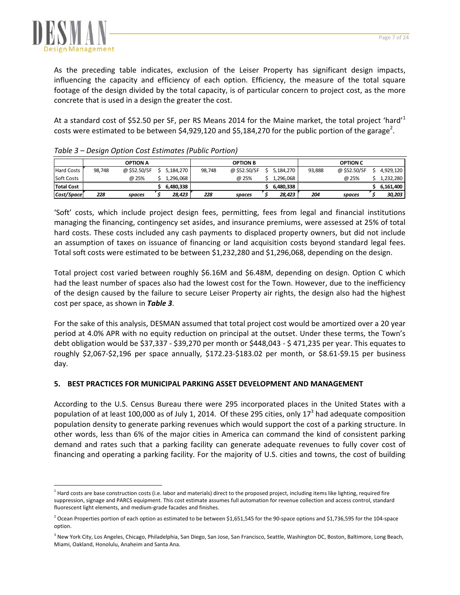

As the preceding table indicates, exclusion of the Leiser Property has significant design impacts, influencing the capacity and efficiency of each option. Efficiency, the measure of the total square footage of the design divided by the total capacity, is of particular concern to project cost, as the more concrete that is used in a design the greater the cost.

At a standard cost of \$52.50 per SF, per RS Means 2014 for the Maine market, the total project 'hard'<sup>1</sup> costs were estimated to be between \$4,929,120 and \$5,184,270 for the public portion of the garage<sup>2</sup>.

|                   | -      |                 |           |        |                 |           |        |                 |           |
|-------------------|--------|-----------------|-----------|--------|-----------------|-----------|--------|-----------------|-----------|
|                   |        | <b>OPTION A</b> |           |        | <b>OPTION B</b> |           |        | <b>OPTION C</b> |           |
| <b>Hard Costs</b> | 98.748 | @ \$52.50/SF    | 5.184.270 | 98,748 | @ \$52.50/SF    | 5,184,270 | 93,888 | @ \$52.50/SF    | 4.929.120 |
| Soft Costs        |        | @ 25%           | 296.068   |        | @ 25%           | 1.296.068 |        | @ 25%           | 1,232,280 |
| <b>Total Cost</b> |        |                 | 6.480.338 |        |                 | 6.480.338 |        |                 | 6.161.400 |
| Cost/Space        | 228    | spaces          | 28,423    | 228    | spaces          | 28,423    | 204    | spaces          | 30,203    |

# *Table 3 – Design Option Cost Estimates (Public Portion)*

'Soft' costs, which include project design fees, permitting, fees from legal and financial institutions managing the financing, contingency set asides, and insurance premiums, were assessed at 25% of total hard costs. These costs included any cash payments to displaced property owners, but did not include an assumption of taxes on issuance of financing or land acquisition costs beyond standard legal fees. Total soft costs were estimated to be between \$1,232,280 and \$1,296,068, depending on the design.

Total project cost varied between roughly \$6.16M and \$6.48M, depending on design. Option C which had the least number of spaces also had the lowest cost for the Town. However, due to the inefficiency of the design caused by the failure to secure Leiser Property air rights, the design also had the highest cost per space, as shown in *Table 3*.

For the sake of this analysis, DESMAN assumed that total project cost would be amortized over a 20 year period at 4.0% APR with no equity reduction on principal at the outset. Under these terms, the Town's debt obligation would be \$37,337 ‐ \$39,270 per month or \$448,043 ‐ \$ 471,235 per year. This equates to roughly \$2,067‐\$2,196 per space annually, \$172.23‐\$183.02 per month, or \$8.61‐\$9.15 per business day.

# **5. BEST PRACTICES FOR MUNICIPAL PARKING ASSET DEVELOPMENT AND MANAGEMENT**

According to the U.S. Census Bureau there were 295 incorporated places in the United States with a population of at least 100,000 as of July 1, 2014. Of these 295 cities, only  $17<sup>3</sup>$  had adequate composition population density to generate parking revenues which would support the cost of a parking structure. In other words, less than 6% of the major cities in America can command the kind of consistent parking demand and rates such that a parking facility can generate adequate revenues to fully cover cost of financing and operating a parking facility. For the majority of U.S. cities and towns, the cost of building

 $<sup>1</sup>$  Hard costs are base construction costs (i.e. labor and materials) direct to the proposed project, including items like lighting, required fire</sup> suppression, signage and PARCS equipment. This cost estimate assumes full automation for revenue collection and access control, standard fluorescent light elements, and medium‐grade facades and finishes.

 $2$  Ocean Properties portion of each option as estimated to be between \$1,651,545 for the 90-space options and \$1,736,595 for the 104-space option.

<sup>&</sup>lt;sup>3</sup> New York City, Los Angeles, Chicago, Philadelphia, San Diego, San Jose, San Francisco, Seattle, Washington DC, Boston, Baltimore, Long Beach, Miami, Oakland, Honolulu, Anaheim and Santa Ana.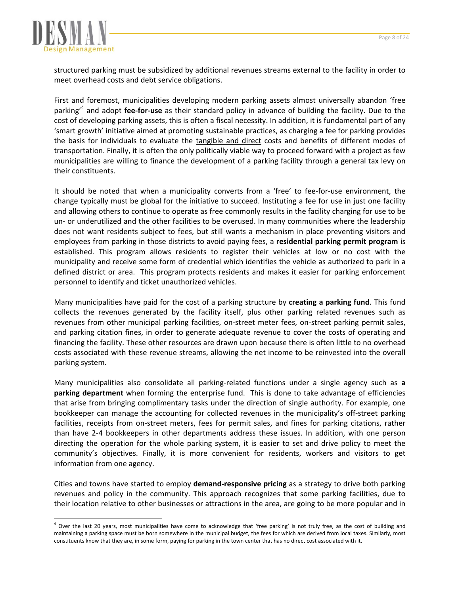

 $\overline{a}$ 

structured parking must be subsidized by additional revenues streams external to the facility in order to meet overhead costs and debt service obligations.

First and foremost, municipalities developing modern parking assets almost universally abandon 'free parking'<sup>4</sup> and adopt **fee‐for‐use** as their standard policy in advance of building the facility. Due to the cost of developing parking assets, this is often a fiscal necessity. In addition, it is fundamental part of any 'smart growth' initiative aimed at promoting sustainable practices, as charging a fee for parking provides the basis for individuals to evaluate the tangible and direct costs and benefits of different modes of transportation. Finally, it is often the only politically viable way to proceed forward with a project as few municipalities are willing to finance the development of a parking facility through a general tax levy on their constituents.

It should be noted that when a municipality converts from a 'free' to fee-for-use environment, the change typically must be global for the initiative to succeed. Instituting a fee for use in just one facility and allowing others to continue to operate as free commonly results in the facility charging for use to be un‐ or underutilized and the other facilities to be overused. In many communities where the leadership does not want residents subject to fees, but still wants a mechanism in place preventing visitors and employees from parking in those districts to avoid paying fees, a **residential parking permit program** is established. This program allows residents to register their vehicles at low or no cost with the municipality and receive some form of credential which identifies the vehicle as authorized to park in a defined district or area. This program protects residents and makes it easier for parking enforcement personnel to identify and ticket unauthorized vehicles.

Many municipalities have paid for the cost of a parking structure by **creating a parking fund**. This fund collects the revenues generated by the facility itself, plus other parking related revenues such as revenues from other municipal parking facilities, on‐street meter fees, on‐street parking permit sales, and parking citation fines, in order to generate adequate revenue to cover the costs of operating and financing the facility. These other resources are drawn upon because there is often little to no overhead costs associated with these revenue streams, allowing the net income to be reinvested into the overall parking system.

Many municipalities also consolidate all parking‐related functions under a single agency such as **a parking department** when forming the enterprise fund. This is done to take advantage of efficiencies that arise from bringing complimentary tasks under the direction of single authority. For example, one bookkeeper can manage the accounting for collected revenues in the municipality's off-street parking facilities, receipts from on‐street meters, fees for permit sales, and fines for parking citations, rather than have 2‐4 bookkeepers in other departments address these issues. In addition, with one person directing the operation for the whole parking system, it is easier to set and drive policy to meet the community's objectives. Finally, it is more convenient for residents, workers and visitors to get information from one agency.

Cities and towns have started to employ **demand‐responsive pricing** as a strategy to drive both parking revenues and policy in the community. This approach recognizes that some parking facilities, due to their location relative to other businesses or attractions in the area, are going to be more popular and in

<sup>&</sup>lt;sup>4</sup> Over the last 20 years, most municipalities have come to acknowledge that 'free parking' is not truly free, as the cost of building and maintaining a parking space must be born somewhere in the municipal budget, the fees for which are derived from local taxes. Similarly, most constituents know that they are, in some form, paying for parking in the town center that has no direct cost associated with it.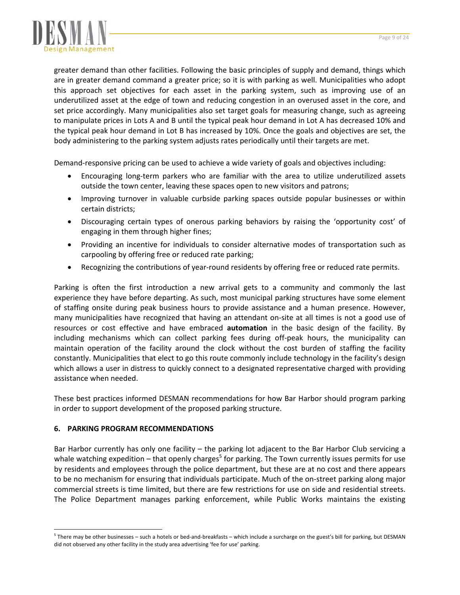

greater demand than other facilities. Following the basic principles of supply and demand, things which are in greater demand command a greater price; so it is with parking as well. Municipalities who adopt this approach set objectives for each asset in the parking system, such as improving use of an underutilized asset at the edge of town and reducing congestion in an overused asset in the core, and set price accordingly. Many municipalities also set target goals for measuring change, such as agreeing to manipulate prices in Lots A and B until the typical peak hour demand in Lot A has decreased 10% and the typical peak hour demand in Lot B has increased by 10%. Once the goals and objectives are set, the body administering to the parking system adjusts rates periodically until their targets are met.

Demand‐responsive pricing can be used to achieve a wide variety of goals and objectives including:

- Encouraging long‐term parkers who are familiar with the area to utilize underutilized assets outside the town center, leaving these spaces open to new visitors and patrons;
- Improving turnover in valuable curbside parking spaces outside popular businesses or within certain districts;
- Discouraging certain types of onerous parking behaviors by raising the 'opportunity cost' of engaging in them through higher fines;
- Providing an incentive for individuals to consider alternative modes of transportation such as carpooling by offering free or reduced rate parking;
- Recognizing the contributions of year-round residents by offering free or reduced rate permits.

Parking is often the first introduction a new arrival gets to a community and commonly the last experience they have before departing. As such, most municipal parking structures have some element of staffing onsite during peak business hours to provide assistance and a human presence. However, many municipalities have recognized that having an attendant on‐site at all times is not a good use of resources or cost effective and have embraced **automation** in the basic design of the facility. By including mechanisms which can collect parking fees during off‐peak hours, the municipality can maintain operation of the facility around the clock without the cost burden of staffing the facility constantly. Municipalities that elect to go this route commonly include technology in the facility's design which allows a user in distress to quickly connect to a designated representative charged with providing assistance when needed.

These best practices informed DESMAN recommendations for how Bar Harbor should program parking in order to support development of the proposed parking structure.

## **6. PARKING PROGRAM RECOMMENDATIONS**

 $\overline{a}$ 

Bar Harbor currently has only one facility – the parking lot adjacent to the Bar Harbor Club servicing a whale watching expedition – that openly charges<sup>5</sup> for parking. The Town currently issues permits for use by residents and employees through the police department, but these are at no cost and there appears to be no mechanism for ensuring that individuals participate. Much of the on‐street parking along major commercial streets is time limited, but there are few restrictions for use on side and residential streets. The Police Department manages parking enforcement, while Public Works maintains the existing

<sup>&</sup>lt;sup>5</sup> There may be other businesses – such a hotels or bed-and-breakfasts – which include a surcharge on the guest's bill for parking, but DESMAN did not observed any other facility in the study area advertising 'fee for use' parking.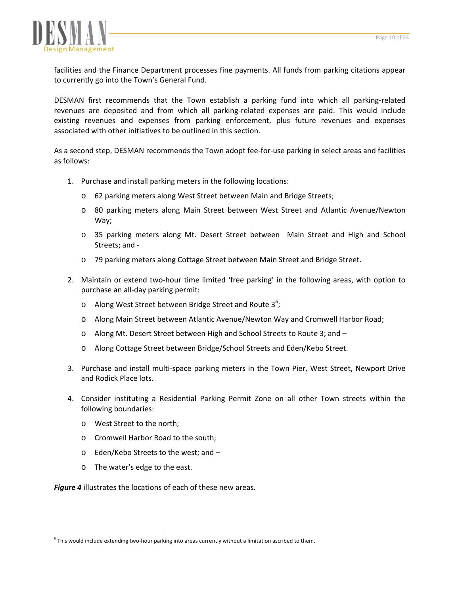

facilities and the Finance Department processes fine payments. All funds from parking citations appear to currently go into the Town's General Fund.

DESMAN first recommends that the Town establish a parking fund into which all parking‐related revenues are deposited and from which all parking‐related expenses are paid. This would include existing revenues and expenses from parking enforcement, plus future revenues and expenses associated with other initiatives to be outlined in this section.

As a second step, DESMAN recommends the Town adopt fee‐for‐use parking in select areas and facilities as follows:

- 1. Purchase and install parking meters in the following locations:
	- o 62 parking meters along West Street between Main and Bridge Streets;
	- o 80 parking meters along Main Street between West Street and Atlantic Avenue/Newton Way;
	- o 35 parking meters along Mt. Desert Street between Main Street and High and School Streets; and ‐
	- o 79 parking meters along Cottage Street between Main Street and Bridge Street.
- 2. Maintain or extend two‐hour time limited 'free parking' in the following areas, with option to purchase an all‐day parking permit:
	- $\circ$  Along West Street between Bridge Street and Route 3<sup>6</sup>;
	- o Along Main Street between Atlantic Avenue/Newton Way and Cromwell Harbor Road;
	- o Along Mt. Desert Street between High and School Streets to Route 3; and –
	- o Along Cottage Street between Bridge/School Streets and Eden/Kebo Street.
- 3. Purchase and install multi-space parking meters in the Town Pier, West Street, Newport Drive and Rodick Place lots.
- 4. Consider instituting a Residential Parking Permit Zone on all other Town streets within the following boundaries:
	- o West Street to the north;
	- o Cromwell Harbor Road to the south;
	- o Eden/Kebo Streets to the west; and –
	- o The water's edge to the east.

 $\overline{a}$ 

*Figure 4* illustrates the locations of each of these new areas.

 $6$  This would include extending two-hour parking into areas currently without a limitation ascribed to them.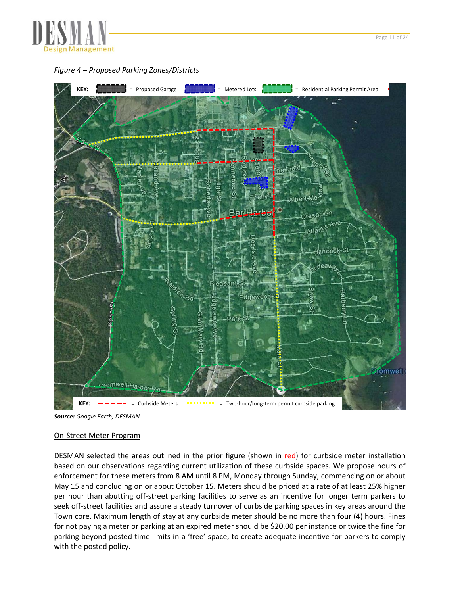

*Figure 4 – Proposed Parking Zones/Districts*



*Source: Google Earth, DESMAN* 

#### On‐Street Meter Program

DESMAN selected the areas outlined in the prior figure (shown in red) for curbside meter installation based on our observations regarding current utilization of these curbside spaces. We propose hours of enforcement for these meters from 8 AM until 8 PM, Monday through Sunday, commencing on or about May 15 and concluding on or about October 15. Meters should be priced at a rate of at least 25% higher per hour than abutting off‐street parking facilities to serve as an incentive for longer term parkers to seek off-street facilities and assure a steady turnover of curbside parking spaces in key areas around the Town core. Maximum length of stay at any curbside meter should be no more than four (4) hours. Fines for not paying a meter or parking at an expired meter should be \$20.00 per instance or twice the fine for parking beyond posted time limits in a 'free' space, to create adequate incentive for parkers to comply with the posted policy.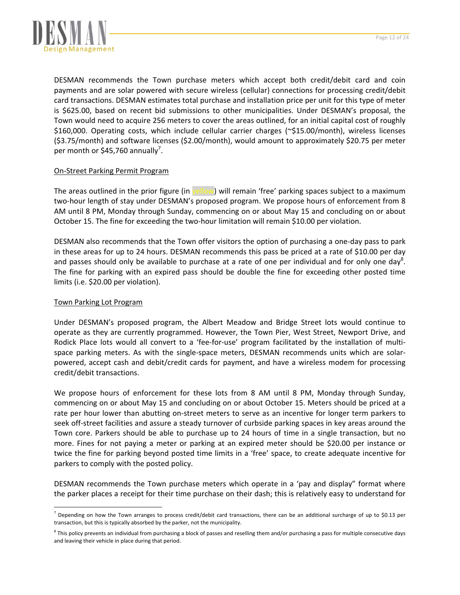

DESMAN recommends the Town purchase meters which accept both credit/debit card and coin payments and are solar powered with secure wireless (cellular) connections for processing credit/debit card transactions. DESMAN estimates total purchase and installation price per unit for this type of meter is \$625.00, based on recent bid submissions to other municipalities. Under DESMAN's proposal, the Town would need to acquire 256 meters to cover the areas outlined, for an initial capital cost of roughly \$160,000. Operating costs, which include cellular carrier charges (~\$15.00/month), wireless licenses (\$3.75/month) and software licenses (\$2.00/month), would amount to approximately \$20.75 per meter per month or \$45,760 annually<sup>7</sup>.

## On‐Street Parking Permit Program

The areas outlined in the prior figure (in yellow) will remain 'free' parking spaces subject to a maximum two‐hour length of stay under DESMAN's proposed program. We propose hours of enforcement from 8 AM until 8 PM, Monday through Sunday, commencing on or about May 15 and concluding on or about October 15. The fine for exceeding the two‐hour limitation will remain \$10.00 per violation.

DESMAN also recommends that the Town offer visitors the option of purchasing a one‐day pass to park in these areas for up to 24 hours. DESMAN recommends this pass be priced at a rate of \$10.00 per day and passes should only be available to purchase at a rate of one per individual and for only one day<sup>8</sup>. The fine for parking with an expired pass should be double the fine for exceeding other posted time limits (i.e. \$20.00 per violation).

## Town Parking Lot Program

 $\overline{a}$ 

Under DESMAN's proposed program, the Albert Meadow and Bridge Street lots would continue to operate as they are currently programmed. However, the Town Pier, West Street, Newport Drive, and Rodick Place lots would all convert to a 'fee-for-use' program facilitated by the installation of multispace parking meters. As with the single-space meters, DESMAN recommends units which are solarpowered, accept cash and debit/credit cards for payment, and have a wireless modem for processing credit/debit transactions.

We propose hours of enforcement for these lots from 8 AM until 8 PM, Monday through Sunday, commencing on or about May 15 and concluding on or about October 15. Meters should be priced at a rate per hour lower than abutting on-street meters to serve as an incentive for longer term parkers to seek off-street facilities and assure a steady turnover of curbside parking spaces in key areas around the Town core. Parkers should be able to purchase up to 24 hours of time in a single transaction, but no more. Fines for not paying a meter or parking at an expired meter should be \$20.00 per instance or twice the fine for parking beyond posted time limits in a 'free' space, to create adequate incentive for parkers to comply with the posted policy.

DESMAN recommends the Town purchase meters which operate in a 'pay and display" format where the parker places a receipt for their time purchase on their dash; this is relatively easy to understand for

 $^7$  Depending on how the Town arranges to process credit/debit card transactions, there can be an additional surcharge of up to \$0.13 per transaction, but this is typically absorbed by the parker, not the municipality.

 $8$  This policy prevents an individual from purchasing a block of passes and reselling them and/or purchasing a pass for multiple consecutive days and leaving their vehicle in place during that period.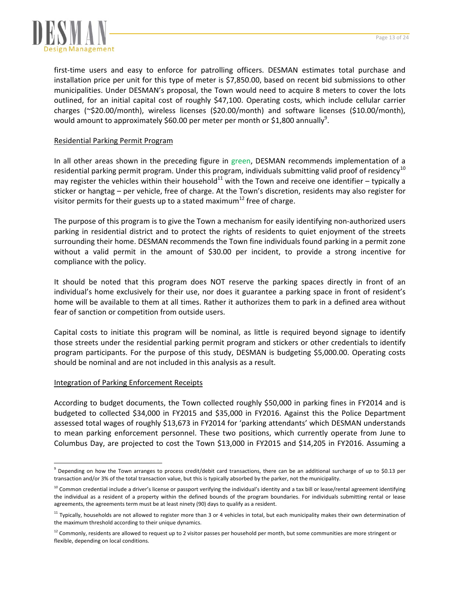

first-time users and easy to enforce for patrolling officers. DESMAN estimates total purchase and installation price per unit for this type of meter is \$7,850.00, based on recent bid submissions to other municipalities. Under DESMAN's proposal, the Town would need to acquire 8 meters to cover the lots outlined, for an initial capital cost of roughly \$47,100. Operating costs, which include cellular carrier charges (~\$20.00/month), wireless licenses (\$20.00/month) and software licenses (\$10.00/month), would amount to approximately \$60.00 per meter per month or \$1,800 annually $^9$ .

# Residential Parking Permit Program

In all other areas shown in the preceding figure in green, DESMAN recommends implementation of a residential parking permit program. Under this program, individuals submitting valid proof of residency<sup>10</sup> may register the vehicles within their household<sup>11</sup> with the Town and receive one identifier – typically a sticker or hangtag – per vehicle, free of charge. At the Town's discretion, residents may also register for visitor permits for their guests up to a stated maximum $^{12}$  free of charge.

The purpose of this program is to give the Town a mechanism for easily identifying non‐authorized users parking in residential district and to protect the rights of residents to quiet enjoyment of the streets surrounding their home. DESMAN recommends the Town fine individuals found parking in a permit zone without a valid permit in the amount of \$30.00 per incident, to provide a strong incentive for compliance with the policy.

It should be noted that this program does NOT reserve the parking spaces directly in front of an individual's home exclusively for their use, nor does it guarantee a parking space in front of resident's home will be available to them at all times. Rather it authorizes them to park in a defined area without fear of sanction or competition from outside users.

Capital costs to initiate this program will be nominal, as little is required beyond signage to identify those streets under the residential parking permit program and stickers or other credentials to identify program participants. For the purpose of this study, DESMAN is budgeting \$5,000.00. Operating costs should be nominal and are not included in this analysis as a result.

## Integration of Parking Enforcement Receipts

 $\overline{\phantom{a}}$ 

According to budget documents, the Town collected roughly \$50,000 in parking fines in FY2014 and is budgeted to collected \$34,000 in FY2015 and \$35,000 in FY2016. Against this the Police Department assessed total wages of roughly \$13,673 in FY2014 for 'parking attendants' which DESMAN understands to mean parking enforcement personnel. These two positions, which currently operate from June to Columbus Day, are projected to cost the Town \$13,000 in FY2015 and \$14,205 in FY2016. Assuming a

 $9$  Depending on how the Town arranges to process credit/debit card transactions, there can be an additional surcharge of up to \$0.13 per transaction and/or 3% of the total transaction value, but this is typically absorbed by the parker, not the municipality.

 $10$  Common credential include a driver's license or passport verifying the individual's identity and a tax bill or lease/rental agreement identifying the individual as a resident of a property within the defined bounds of the program boundaries. For individuals submitting rental or lease agreements, the agreements term must be at least ninety (90) days to qualify as a resident.

 $11$  Typically, households are not allowed to register more than 3 or 4 vehicles in total, but each municipality makes their own determination of the maximum threshold according to their unique dynamics.

 $12$  Commonly, residents are allowed to request up to 2 visitor passes per household per month, but some communities are more stringent or flexible, depending on local conditions.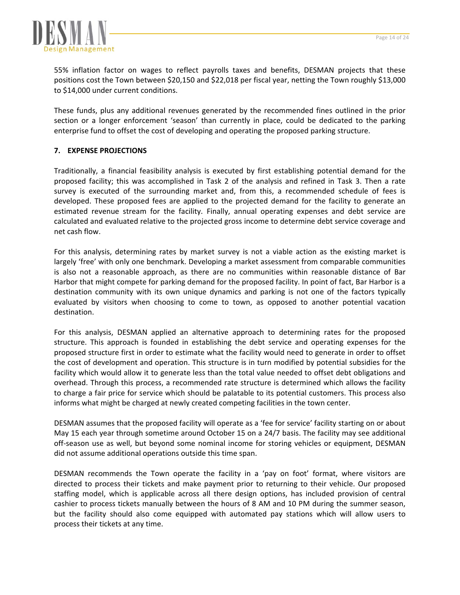

55% inflation factor on wages to reflect payrolls taxes and benefits, DESMAN projects that these positions cost the Town between \$20,150 and \$22,018 per fiscal year, netting the Town roughly \$13,000 to \$14,000 under current conditions.

These funds, plus any additional revenues generated by the recommended fines outlined in the prior section or a longer enforcement 'season' than currently in place, could be dedicated to the parking enterprise fund to offset the cost of developing and operating the proposed parking structure.

# **7. EXPENSE PROJECTIONS**

Traditionally, a financial feasibility analysis is executed by first establishing potential demand for the proposed facility; this was accomplished in Task 2 of the analysis and refined in Task 3. Then a rate survey is executed of the surrounding market and, from this, a recommended schedule of fees is developed. These proposed fees are applied to the projected demand for the facility to generate an estimated revenue stream for the facility. Finally, annual operating expenses and debt service are calculated and evaluated relative to the projected gross income to determine debt service coverage and net cash flow.

For this analysis, determining rates by market survey is not a viable action as the existing market is largely 'free' with only one benchmark. Developing a market assessment from comparable communities is also not a reasonable approach, as there are no communities within reasonable distance of Bar Harbor that might compete for parking demand for the proposed facility. In point of fact, Bar Harbor is a destination community with its own unique dynamics and parking is not one of the factors typically evaluated by visitors when choosing to come to town, as opposed to another potential vacation destination.

For this analysis, DESMAN applied an alternative approach to determining rates for the proposed structure. This approach is founded in establishing the debt service and operating expenses for the proposed structure first in order to estimate what the facility would need to generate in order to offset the cost of development and operation. This structure is in turn modified by potential subsidies for the facility which would allow it to generate less than the total value needed to offset debt obligations and overhead. Through this process, a recommended rate structure is determined which allows the facility to charge a fair price for service which should be palatable to its potential customers. This process also informs what might be charged at newly created competing facilities in the town center.

DESMAN assumes that the proposed facility will operate as a 'fee for service' facility starting on or about May 15 each year through sometime around October 15 on a 24/7 basis. The facility may see additional off-season use as well, but beyond some nominal income for storing vehicles or equipment, DESMAN did not assume additional operations outside this time span.

DESMAN recommends the Town operate the facility in a 'pay on foot' format, where visitors are directed to process their tickets and make payment prior to returning to their vehicle. Our proposed staffing model, which is applicable across all there design options, has included provision of central cashier to process tickets manually between the hours of 8 AM and 10 PM during the summer season, but the facility should also come equipped with automated pay stations which will allow users to process their tickets at any time.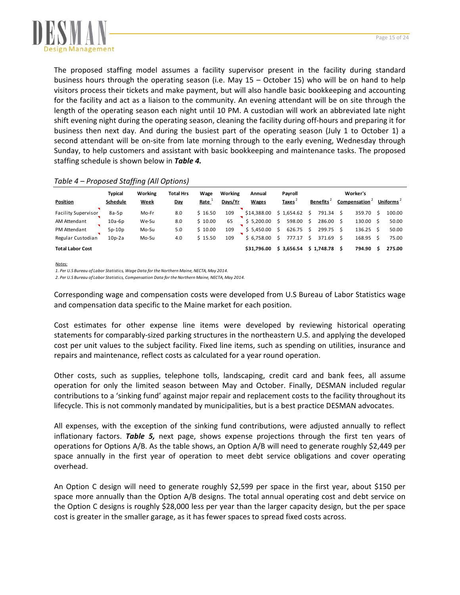

The proposed staffing model assumes a facility supervisor present in the facility during standard business hours through the operating season (i.e. May 15 – October 15) who will be on hand to help visitors process their tickets and make payment, but will also handle basic bookkeeping and accounting for the facility and act as a liaison to the community. An evening attendant will be on site through the length of the operating season each night until 10 PM. A custodian will work an abbreviated late night shift evening night during the operating season, cleaning the facility during off‐hours and preparing it for business then next day. And during the busiest part of the operating season (July 1 to October 1) a second attendant will be on-site from late morning through to the early evening, Wednesday through Sunday, to help customers and assistant with basic bookkeeping and maintenance tasks. The proposed staffing schedule is shown below in *Table 4.*

|                            | <b>Typical</b> | Working     | Total Hrs | Wage    | Working | Annual       | Payroll      |                 | Worker's     |                       |
|----------------------------|----------------|-------------|-----------|---------|---------|--------------|--------------|-----------------|--------------|-----------------------|
| Position                   | Schedule       | <b>Week</b> | Day       | Rate    | Days/Yr | <b>Wages</b> | <b>Taxes</b> | <b>Benefits</b> | Compensation | Uniforms <sup>2</sup> |
| <b>Facility Supervisor</b> | $8a-5p$        | Mo-Fr       | 8.0       | \$16.50 | 109     | \$14,388.00  | \$1,654.62   | 791.34          | 359.70       | 100.00                |
| AM Attendant               | $10a-6p$       | We-Su       | 8.0       | \$10.00 | 65      | \$5.200.00   | 598.00       | 286.00          | 130.00       | 50.00                 |
| PM Attendant               | $5p-10p$       | Mo-Su       | 5.0       | \$10.00 | 109     | \$5.450.00   | 626.75       | 299.75          | 136.25       | 50.00                 |
| Regular Custodian          | $10p-2a$       | Mo-Su       | 4.0       | \$15.50 | 109     | \$6.758.00   | 777.17       | 371.69          | 168.95       | 75.00                 |
| <b>Total Labor Cost</b>    |                |             |           |         |         | \$31.796.00  | \$3.656.54   | \$1.748.78      | 794.90       | 275.00                |

*Notes:*

*1. Per U.S Bureau of Labor Statistics, WageData for theNorthern Maine, NECTA, May 2014.*

*2. Per U.S Bureau of Labor Statistics, Compensation Data for theNorthern Maine, NECTA, May 2014.*

Corresponding wage and compensation costs were developed from U.S Bureau of Labor Statistics wage and compensation data specific to the Maine market for each position.

Cost estimates for other expense line items were developed by reviewing historical operating statements for comparably‐sized parking structures in the northeastern U.S. and applying the developed cost per unit values to the subject facility. Fixed line items, such as spending on utilities, insurance and repairs and maintenance, reflect costs as calculated for a year round operation.

Other costs, such as supplies, telephone tolls, landscaping, credit card and bank fees, all assume operation for only the limited season between May and October. Finally, DESMAN included regular contributions to a 'sinking fund' against major repair and replacement costs to the facility throughout its lifecycle. This is not commonly mandated by municipalities, but is a best practice DESMAN advocates.

All expenses, with the exception of the sinking fund contributions, were adjusted annually to reflect inflationary factors. *Table 5,* next page, shows expense projections through the first ten years of operations for Options A/B. As the table shows, an Option A/B will need to generate roughly \$2,449 per space annually in the first year of operation to meet debt service obligations and cover operating overhead.

An Option C design will need to generate roughly \$2,599 per space in the first year, about \$150 per space more annually than the Option A/B designs. The total annual operating cost and debt service on the Option C designs is roughly \$28,000 less per year than the larger capacity design, but the per space cost is greater in the smaller garage, as it has fewer spaces to spread fixed costs across.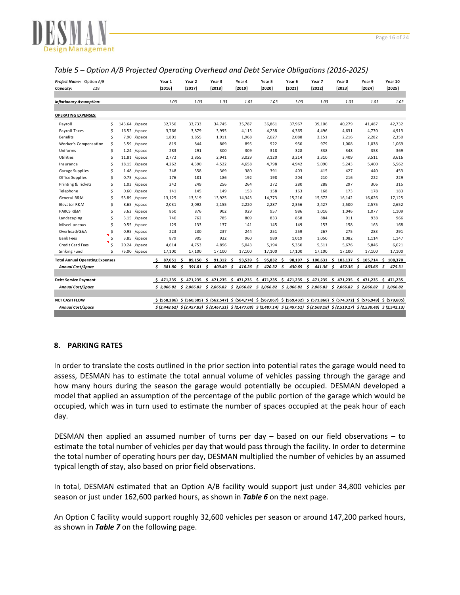

| Project Name: Option A/B               |    |      |                | Year 1        |      | Year 2                                                                                                                                                                                                                                                    | Year 3          | Year 4 |     | Year 5           |      | Year 6    |      | Year 7 |     | Year 8                           | Year 9                    | Year 10 |
|----------------------------------------|----|------|----------------|---------------|------|-----------------------------------------------------------------------------------------------------------------------------------------------------------------------------------------------------------------------------------------------------------|-----------------|--------|-----|------------------|------|-----------|------|--------|-----|----------------------------------|---------------------------|---------|
| 228<br>Capacity:                       |    |      |                | [2016]        |      | [2017]                                                                                                                                                                                                                                                    | [2018]          | [2019] |     | [2020]           |      | [2021]    |      | [2022] |     | [2023]                           | [2024]                    | [2025]  |
|                                        |    |      |                |               |      |                                                                                                                                                                                                                                                           |                 |        |     |                  |      |           |      |        |     |                                  |                           |         |
| <b>Inflationary Assumption:</b>        |    |      |                |               | 1.03 | 1.03                                                                                                                                                                                                                                                      | 1.03            | 1.03   |     | 1.03             |      | 1.03      |      | 1.03   |     | 1.03                             | 1.03                      | 1.03    |
|                                        |    |      |                |               |      |                                                                                                                                                                                                                                                           |                 |        |     |                  |      |           |      |        |     |                                  |                           |         |
| <b>OPERATING EXPENSES:</b>             |    |      |                |               |      |                                                                                                                                                                                                                                                           |                 |        |     |                  |      |           |      |        |     |                                  |                           |         |
| Payroll                                | Ŝ. |      | 143.64 /space  | 32,750        |      | 33,733                                                                                                                                                                                                                                                    | 34,745          | 35,787 |     | 36,861           |      | 37,967    |      | 39,106 |     | 40,279                           | 41,487                    | 42,732  |
| Payroll Taxes                          | Ŝ. |      | $16.52$ /space | 3,766         |      | 3,879                                                                                                                                                                                                                                                     | 3,995           | 4,115  |     | 4,238            |      | 4,365     |      | 4,496  |     | 4,631                            | 4,770                     | 4,913   |
| <b>Benefits</b>                        | Ś  |      | 7.90 /space    | 1,801         |      | 1,855                                                                                                                                                                                                                                                     | 1,911           | 1,968  |     | 2,027            |      | 2,088     |      | 2,151  |     | 2,216                            | 2,282                     | 2,350   |
| Worker's Compensation                  | \$ | 3.59 | /space         |               | 819  | 844                                                                                                                                                                                                                                                       | 869             | 895    |     | 922              |      | 950       |      | 979    |     | 1,008                            | 1,038                     | 1,069   |
| Uniforms                               | \$ | 1.24 | /space         |               | 283  | 291                                                                                                                                                                                                                                                       | 300             | 309    |     | 318              |      | 328       |      | 338    |     | 348                              | 358                       | 369     |
| Utilities                              | \$ |      | $11.81$ /space | 2,772         |      | 2,855                                                                                                                                                                                                                                                     | 2,941           | 3,029  |     | 3,120            |      | 3,214     |      | 3,310  |     | 3,409                            | 3,511                     | 3,616   |
| Insurance                              | \$ |      | 18.15 /space   | 4,262         |      | 4,390                                                                                                                                                                                                                                                     | 4,522           | 4,658  |     | 4,798            |      | 4,942     |      | 5,090  |     | 5,243                            | 5,400                     | 5,562   |
| Garage Supplies                        | Ś. |      | $1.48$ /space  |               | 348  | 358                                                                                                                                                                                                                                                       | 369             | 380    |     | 391              |      | 403       |      | 415    |     | 427                              | 440                       | 453     |
| Office Supplies                        | Ś  |      | $0.75$ /space  |               | 176  | 181                                                                                                                                                                                                                                                       | 186             | 192    |     | 198              |      | 204       |      | 210    |     | 216                              | 222                       | 229     |
| Printing & Tickets                     | \$ |      | $1.03$ /space  |               | 242  | 249                                                                                                                                                                                                                                                       | 256             | 264    |     | 272              |      | 280       |      | 288    |     | 297                              | 306                       | 315     |
| Telephone                              | Ś  |      | $0.60$ /space  |               | 141  | 145                                                                                                                                                                                                                                                       | 149             | 153    |     | 158              |      | 163       |      | 168    |     | 173                              | 178                       | 183     |
| General R&M                            | Ś  |      | 55.89 /space   | 13,125        |      | 13,519                                                                                                                                                                                                                                                    | 13,925          | 14,343 |     | 14,773           |      | 15,216    |      | 15,672 |     | 16,142                           | 16,626                    | 17,125  |
| Elevator R&M                           | Ś  |      | 8.65 /space    | 2,031         |      | 2,092                                                                                                                                                                                                                                                     | 2,155           | 2,220  |     | 2,287            |      | 2,356     |      | 2,427  |     | 2,500                            | 2,575                     | 2,652   |
| PARCS R&M                              | Ś  |      | $3.62$ /space  |               | 850  | 876                                                                                                                                                                                                                                                       | 902             | 929    |     | 957              |      | 986       |      | 1,016  |     | 1,046                            | 1,077                     | 1,109   |
| Landscaping                            | Ś  | 3.15 | /space         |               | 740  | 762                                                                                                                                                                                                                                                       | 785             | 809    |     | 833              |      | 858       |      | 884    |     | 911                              | 938                       | 966     |
| Miscellaneous                          | \$ |      | $0.55$ /space  |               | 129  | 133                                                                                                                                                                                                                                                       | 137             | 141    |     | 145              |      | 149       |      | 153    |     | 158                              | 163                       | 168     |
| Overhead/G&A                           | Ś  |      | $0.95$ /space  |               | 223  | 230                                                                                                                                                                                                                                                       | 237             | 244    |     | 251              |      | 259       |      | 267    |     | 275                              | 283                       | 291     |
| <b>Bank Fees</b>                       | Ŝ  |      | 3.85 /space    |               | 879  | 905                                                                                                                                                                                                                                                       | 932             | 960    |     | 989              |      | 1,019     |      | 1,050  |     | 1,082                            | 1,114                     | 1,147   |
| Credit Card Fees                       | \$ |      | 20.24 /space   | 4,614         |      | 4,753                                                                                                                                                                                                                                                     | 4,896           | 5,043  |     | 5,194            |      | 5,350     |      | 5,511  |     | 5,676                            | 5,846                     | 6,021   |
| Sinking Fund                           | Ś. |      | 75.00 /space   | 17,100        |      | 17,100                                                                                                                                                                                                                                                    | 17,100          | 17,100 |     | 17,100           |      | 17,100    |      | 17,100 |     | 17,100                           | 17,100                    | 17,100  |
| <b>Total Annual Operating Expenses</b> |    |      |                | 87,051<br>-\$ |      | Ŝ.<br>$89,150$ \$                                                                                                                                                                                                                                         | $91,312$ \$     | 93,539 | \$. | $95,832 \quad $$ |      | 98,197 \$ |      |        |     | $100,631 \quad $103,137 \quad $$ | 105,714 \$ 108,370        |         |
| <b>Annual Cost/Space</b>               |    |      |                | \$<br>381.80  |      | \$<br>391.01                                                                                                                                                                                                                                              | \$<br>400.49 \$ | 410.26 | s.  | 420.32           | - \$ | 430.69    | - \$ | 441.36 | - 5 | 452.36                           | \$<br>463.66 <sup>5</sup> | 475.31  |
|                                        |    |      |                |               |      |                                                                                                                                                                                                                                                           |                 |        |     |                  |      |           |      |        |     |                                  |                           |         |
| <b>Debt Service Payment</b>            |    |      |                |               |      | \$ 471,235 \$ 471,235 \$ 471,235 \$ 471,235 \$ 471,235 \$ 471,235 \$ 471,235 \$ 471,235 \$ 471,235 \$ 471,235                                                                                                                                             |                 |        |     |                  |      |           |      |        |     |                                  |                           |         |
| <b>Annual Cost/Space</b>               |    |      |                |               |      | $$2,066.82$ $$2,066.82$ $$2,066.82$ $$2,066.82$ $$2,066.82$ $$2,066.82$ $$2,066.82$ $$2,066.82$ $$2,066.82$ $$2,066.82$                                                                                                                                   |                 |        |     |                  |      |           |      |        |     |                                  |                           |         |
|                                        |    |      |                |               |      |                                                                                                                                                                                                                                                           |                 |        |     |                  |      |           |      |        |     |                                  |                           |         |
| <b>NET CASH FLOW</b>                   |    |      |                |               |      | \$ (576,949) \$ (576,949) \$ (577,866) \$ (584,774) \$ (567,067) \$ (569,432) \$ (571,866) \$ (574,372) \$ (576,949) \$ (579,605)                                                                                                                         |                 |        |     |                  |      |           |      |        |     |                                  |                           |         |
| <b>Annual Cost/Space</b>               |    |      |                |               |      | $\frac{1}{2}$ (2,448.62) $\frac{2}{3}$ (2,457.83) $\frac{2}{3}$ (2,467.31) $\frac{2}{3}$ (2,477.08) $\frac{2}{3}$ (2,487.14) $\frac{2}{3}$ (2,497.51) $\frac{2}{3}$ (2,508.18) $\frac{2}{3}$ (2,519.17) $\frac{2}{3}$ (2,530.48) $\frac{2}{3}$ (2,542.13) |                 |        |     |                  |      |           |      |        |     |                                  |                           |         |
|                                        |    |      |                |               |      |                                                                                                                                                                                                                                                           |                 |        |     |                  |      |           |      |        |     |                                  |                           |         |

#### *Table 5 – Option A/B Projected Operating Overhead and Debt Service Obligations (2016‐2025)*

## **8. PARKING RATES**

In order to translate the costs outlined in the prior section into potential rates the garage would need to assess, DESMAN has to estimate the total annual volume of vehicles passing through the garage and how many hours during the season the garage would potentially be occupied. DESMAN developed a model that applied an assumption of the percentage of the public portion of the garage which would be occupied, which was in turn used to estimate the number of spaces occupied at the peak hour of each day.

DESMAN then applied an assumed number of turns per day – based on our field observations – to estimate the total number of vehicles per day that would pass through the facility. In order to determine the total number of operating hours per day, DESMAN multiplied the number of vehicles by an assumed typical length of stay, also based on prior field observations.

In total, DESMAN estimated that an Option A/B facility would support just under 34,800 vehicles per season or just under 162,600 parked hours, as shown in *Table 6* on the next page.

An Option C facility would support roughly 32,600 vehicles per season or around 147,200 parked hours, as shown in *Table 7* on the following page.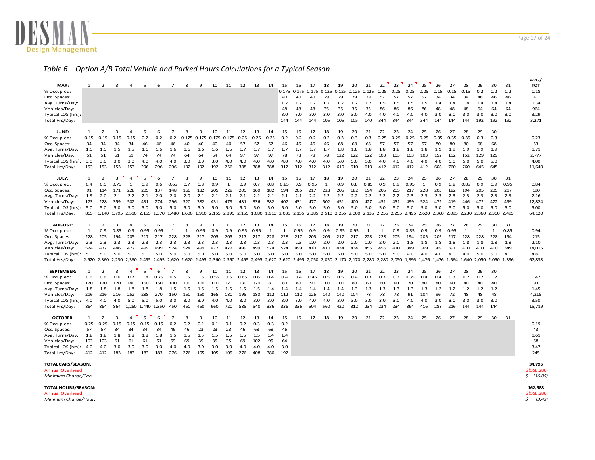

#### *Table 6 – Option A/B Total Vehicle and Parked Hours Calculations for <sup>a</sup> Typical Season*

|                    |      |                   |              |                |                   |            |                |                                                                   |       |                         |              |      |      |              |              |       |            |              |       |       |                                     |              |      |      |                                                                   |            |            |              |                         |              |      | AVG,       |
|--------------------|------|-------------------|--------------|----------------|-------------------|------------|----------------|-------------------------------------------------------------------|-------|-------------------------|--------------|------|------|--------------|--------------|-------|------------|--------------|-------|-------|-------------------------------------|--------------|------|------|-------------------------------------------------------------------|------------|------------|--------------|-------------------------|--------------|------|------------|
| MAY:               | 1    | 2                 | 3            | $\overline{4}$ | 5                 | 6          | 7              | 8                                                                 | 9     | 10                      | 11           | 12   | 13   | 14           | 15           | 16    | 17         | 18           | 19    | 20    | 21                                  | 22           | 23   | 24   | 25                                                                | 26         | 27         | 28           | 29                      | 30           | 31   | <b>TOT</b> |
| % Occupied:        |      |                   |              |                |                   |            |                |                                                                   |       |                         |              |      |      |              | 0.175        | 0.175 | 0.175      | 0.125        | 0.125 | 0.125 | 0.125                               | 0.25         | 0.25 | 0.25 | 0.25                                                              | 0.15       | 0.15       | 0.15         | 0.2                     | 0.2          | 0.2  | 0.18       |
| Occ. Spaces:       |      |                   |              |                |                   |            |                |                                                                   |       |                         |              |      |      |              | 40           | 40    | 40         | 29           | 29    | 29    | 29                                  | 57           | 57   | 57   | 57                                                                | 34         | 34         | 34           | 46                      | 46           | 46   | 41         |
| Avg. Turns/Day:    |      |                   |              |                |                   |            |                |                                                                   |       |                         |              |      |      |              | 1.2          | 1.2   | 1.2        | 1.2          | 1.2   | 1.2   | 1.2                                 | 1.5          | 1.5  | 1.5  | 1.5                                                               | 1.4        | 1.4        | 1.4          | 1.4                     | 1.4          | 1.4  | 1.34       |
| Vehicles/Day:      |      |                   |              |                |                   |            |                |                                                                   |       |                         |              |      |      |              | 48           | 48    | 48         | 35           | 35    | 35    | 35                                  | 86           | 86   | 86   | 86                                                                | 48         | 48         | 48           | 64                      | 64           | 64   | 964        |
| Typical LOS (hrs): |      |                   |              |                |                   |            |                |                                                                   |       |                         |              |      |      |              | 3.0          | 3.0   | 3.0        | 3.0          | 3.0   | 3.0   | 4.0                                 | 4.0          | 4.0  | 4.0  | 4.0                                                               | 3.0        | 3.0        | 3.0          | 3.0                     | 3.0          | 3.0  | 3.29       |
| Total Hrs/Day:     |      |                   |              |                |                   |            |                |                                                                   |       |                         |              |      |      |              | 144          | 144   | 144        | 105          | 105   | 105   | 140                                 | 344          | 344  | 344  | 344                                                               | 144        | 144        | 144          | 192                     | 192          | 192  | 3,271      |
| JUNE:              | 1    | 2                 | 3            | Δ              | 5                 | 6          | 7              | 8                                                                 | 9     | 10                      | 11           | 12   | 13   | 14           | 15           | 16    | 17         | 18           | 19    | 20    | 21                                  | 22           | 23   | 24   | 25                                                                | 26         | 27         | 28           | 29                      | 30           |      |            |
| % Occupied:        | 0.15 | 0.15              | 0.15         | 0.15           | 0.2               | 0.2        | 0.2            | 0.175                                                             | 0.175 | 0.175                   | 0.175        | 0.25 | 0.25 | 0.25         | 0.2          | 0.2   | 0.2        | 0.2          | 0.3   | 0.3   | 0.3                                 | 0.25         | 0.25 | 0.25 | 0.25                                                              | 0.35       | 0.35       | 0.35         | 0.3                     | 0.3          |      | 0.23       |
| Occ. Spaces:       | 34   | 34                | 34           | 34             | 46                | 46         | 46             | 40                                                                | 40    | 40                      | 40           | 57   | 57   | 57           | 46           | 46    | 46         | 46           | 68    | 68    | 68                                  | 57           | 57   | 57   | 57                                                                | 80         | 80         | 80           | 68                      | 68           |      | 53         |
| Avg. Turns/Day:    | 1.5  | 1.5               | 1.5          | 1.5            | 1.6               | 1.6        | 1.6            | 1.6                                                               | 1.6   | 1.6                     | 1.6          | 1.7  | 1.7  | 1.7          | 1.7          | 1.7   | 1.7        | 1.7          | 1.8   | 1.8   | 1.8                                 | 1.8          | 1.8  | 1.8  | 1.8                                                               | 1.9        | 1.9        | 1.9          | 1.9                     | 1.9          |      | 1.71       |
| Vehicles/Day:      | 51   | 51                | 51           | 51             | 74                | 74         | 74             | 64                                                                | 64    | 64                      | 64           | 97   | 97   | 97           | 78           | 78    | 78         | 78           | 122   | 122   | 122                                 | 103          | 103  | 103  | 103                                                               | 152        | 152        | 152          | 129                     | 129          |      | 2,777      |
| Typical LOS (hrs): | 3.0  | 3.0               | 3.0          | 3.0            | 4.0               | 4.0        | 4.0            | 3.0                                                               | 3.0   | 3.0                     | 4.0          | 4.0  | 4.0  | 4.0          | 4.0          | 4.0   | 4.0        | 4.0          | 5.0   | 5.0   | 5.0                                 | 4.0          | 4.0  | 4.0  | 4.0                                                               | 4.0        | 5.0        | 5.0          | 5.0                     | 5.0          |      | 4.00       |
| Total Hrs/Day:     | 153  | 153               | 153          | 153            | 296               | 296        | 296            | 192                                                               | 192   | 192                     | 256          | 388  | 388  | 388          | 312          | 312   | 312        | 312          | 610   | 610   | 610                                 | 412          | 412  | 412  | 412                                                               | 608        | 760        | 760          | 645                     | 645          |      | 11,640     |
| JULY:              | 1    | $\overline{2}$    | 3            | $\overline{4}$ | 5                 | 6          | $\overline{7}$ | 8                                                                 | 9     | 10                      | 11           | 12   | 13   | 14           | 15           | 16    | 17         | 18           | 19    | 20    | 21                                  | 22           | 23   | 24   | 25                                                                | 26         | 27         | 28           | 29                      | 30           | 31   |            |
| % Occupied:        | 0.4  | 0.5               | 0.75         | $\mathbf{1}$   | 0.9               | 0.6        | 0.65           | 0.7                                                               | 0.8   | 0.9                     | $\mathbf{1}$ | 0.9  | 0.7  | 0.8          | 0.85         | 0.9   | 0.95       | $\mathbf{1}$ | 0.9   | 0.8   | 0.85                                | 0.9          | 0.9  | 0.95 | $\mathbf{1}$                                                      | 0.9        | 0.8        | 0.85         | 0.9                     | 0.9          | 0.95 | 0.84       |
| Occ. Spaces:       | 91   | 114               | 171          | 228            | 205               | 137        | 148            | 160                                                               | 182   | 205                     | 228          | 205  | 160  | 182          | 194          | 205   | 217        | 228          | 205   | 182   | 194                                 | 205          | 205  | 217  | 228                                                               | 205        | 182        | 194          | 205                     | 205          | 217  | 190        |
| Avg. Turns/Day:    | 1.9  | 2.0               | 2.1          | 2.2            | 2.1               | 2.0        | 2.0            | 2.0                                                               | 2.1   | 2.1                     | 2.1          | 2.1  | 2.1  | 2.1          | 2.1          | 2.1   | 2.2        | 2.2          | 2.2   | 2.2   | 2.2                                 | 2.2          | 2.2  | 2.3  | 2.3                                                               | 2.3        | 2.3        | 2.3          | 2.3                     | 2.3          | 2.3  | 2.16       |
| Vehicles/Day:      | 173  | 228               | 359          | 502            | 431               | 274        | 296            | 320                                                               | 382   | 431                     | 479          | 431  | 336  | 382          | 407          | 431   | 477        | 502          | 451   | 400   | 427                                 | 451          | 451  | 499  | 524                                                               | 472        | 419        | 446          | 472                     | 472          | 499  | 12,824     |
| Typical LOS (hrs): | 5.0  | 5.0               | 5.0          | 5.0            | 5.0               | 5.0        | 5.0            | 5.0                                                               | 5.0   | 5.0                     | 5.0          | 5.0  | 5.0  | 5.0          | 5.0          | 5.0   | 5.0        | 5.0          | 5.0   | 5.0   | 5.0                                 | 5.0          | 5.0  | 5.0  | 5.0                                                               | 5.0        | 5.0        | 5.0          | 5.0                     | 5.0          | 5.0  | 5.00       |
| Total Hrs/Day:     | 865  | 1.140             | 1.795        | 2.510          | 2.155 1.370       |            | 1.480          | 1.600                                                             |       | 1,910 2,155 2,395 2,155 |              |      |      | 1.680 1.910  | 2.035        |       |            |              |       |       | 2,155 2,385 2,510 2,255 2,000 2,135 |              |      |      | 2.255 2.255 2.495 2.620 2.360                                     |            | 2.095      |              | 2.230 2.360 2.360 2.495 |              |      | 64,120     |
| <b>AUGUST:</b>     | 1    | 2                 | 3            | 4              | 5                 | 6          | 7              | 8                                                                 | 9     | 10                      | 11           | 12   | 13   | 14           | 15           | 16    | 17         | 18           | 19    | 20    | 21                                  | 22           | 23   | 24   | 25                                                                | 26         | 27         | 28           | 29                      | 30           | 31   |            |
| % Occupied:        | 1    | 0.9               | 0.85         | 0.9            | 0.95              | 0.95       | $\mathbf{1}$   | $\mathbf{1}$                                                      | 0.95  | 0.9                     | 0.9          | 0.95 | 0.95 | $\mathbf{1}$ | $\mathbf{1}$ | 0.95  | 0.9        | 0.9          | 0.95  | 0.95  | $\mathbf{1}$                        | $\mathbf{1}$ | 0.9  | 0.85 | 0.9                                                               | 0.9        | 0.95       | $\mathbf{1}$ | $\mathbf{1}$            | $\mathbf{1}$ | 0.85 | 0.94       |
| Occ. Spaces:       | 228  | 205               |              | 205            | 217               | 217        | 228            | 228                                                               | 217   |                         | 205          | 217  | 217  | 228          | 228          | 217   | 205        | 205          | 217   | 217   | 228                                 | 228          | 205  | 194  | 205                                                               | 205        | 217        | 228          | 228                     | 228          | 194  | 215        |
|                    |      |                   |              |                |                   |            |                |                                                                   |       |                         |              |      |      |              |              |       |            |              |       |       |                                     | 2.0          |      |      |                                                                   |            |            |              |                         |              | 1.8  | 2.10       |
|                    |      |                   | 194          | 2.3            | 2.3               |            | 2.3            |                                                                   |       | 205                     |              |      |      | 2.3          |              | 2.3   | 2.0        | 2.0          |       |       |                                     |              |      |      | 1.8                                                               |            | 1.8        | 1.8          |                         | 1.8          |      |            |
| Avg. Turns/Day:    | 2.3  | 2.3               | 2.3          |                |                   | 2.3        |                | 2.3                                                               | 2.3   | 2.3                     | 2.3          | 2.3  | 2.3  |              | 2.3          |       |            |              | 2.0   | 2.0   | 2.0                                 |              | 2.0  | 1.8  |                                                                   | 1.8        |            |              | 1.8                     |              |      |            |
| Vehicles/Day:      | 524  | 472               | 446          | 472            | 499<br>5.0        | 499<br>5.0 | 524            | 524                                                               | 499   | 472                     | 472          | 499  | 499  | 524          | 524          | 499   | 410<br>5.0 | 410          | 434   | 434   | 456                                 | 456          | 410  | 349  | 369<br>4.0                                                        | 369<br>4.0 | 391<br>4.0 | 410<br>4.0   | 410                     | 410          | 349  | 14,015     |
| Typical LOS (hrs): | 5.0  | 5.0               | 5.0          | 5.0            |                   |            | 5.0            | 5.0                                                               | 5.0   | 5.0                     | 5.0          | 5.0  | 5.0  | 5.0          | 5.0          | 5.0   |            | 5.0          | 5.0   | 5.0   | 5.0                                 | 5.0          | 5.0  | 4.0  |                                                                   |            |            |              | 5.0                     | 5.0          | 4.0  | 4.81       |
| Total Hrs/Day:     |      | 2,620 2,360 2,230 |              | 2,360          |                   |            |                | 2,495 2,495 2,620 2,620 2,495 2,360 2,360 2,495 2,495 2,620 2,620 |       |                         |              |      |      |              |              |       |            |              |       |       |                                     |              |      |      | 2,495 2,050 2,050 2,170 2,170 2,280 2,280 2,050 1,396 1,476 1,476 |            | 1,564      |              | 1,640 2,050             | 2,050 1,396  |      | 67,838     |
| <b>SEPTEMBER:</b>  | 1    | 2                 | 3            | $\Delta$       | 5                 | 6          | $\overline{7}$ | 8                                                                 | 9     | 10                      | 11           | 12   | 13   | 14           | 15           | 16    | 17         | 18           | 19    | 20    | 21                                  | 22           | 23   | 24   | 25                                                                | 26         | 27         | 28           | 29                      | 30           |      |            |
| % Occupied:        | 0.6  | 0.6               | 0.6          | 0.7            | 0.8               | 0.75       | 0.5            | 0.5                                                               | 0.5   | 0.55                    | 0.6          | 0.65 | 0.6  | 0.4          | 0.4          | 0.4   | 0.45       | 0.5          | 0.5   | 0.4   | 0.3                                 | 0.3          | 0.3  | 0.35 | 0.4                                                               | 0.4        | 0.3        | 0.2          | 0.2                     | 0.2          |      | 0.47       |
| Occ. Spaces:       | 120  | 120               | 120          | 140            | 160               | 150        | 100            | 100                                                               | 100   | 110                     | 120          | 130  | 120  | 80           | 80           | 80    | 90         | 100          | 100   | 80    | 60                                  | 60           | 60   | 70   | 80                                                                | 80         | 60         | 40           | 40                      | 40           |      | 93         |
| Avg. Turns/Day:    | 1.8  | 1.8               | 1.8          | 1.8            | 1.8               | 1.8        | 1.5            | 1.5                                                               | 1.5   | 1.5                     | 1.5          | 1.5  | 1.5  | 1.4          | 1.4          | 1.4   | 1.4        | 1.4          | 1.4   | 1.3   | 1.3                                 | 1.3          | 1.3  | 1.3  | 1.3                                                               | 1.2        | 1.2        | 1.2          | 1.2                     | 1.2          |      | 1.45       |
| Vehicles/Day:      | 216  | 216               | 216          | 252            | 288               | 270        | 150            | 150                                                               | 150   | 165                     | 180          | 195  | 180  | 112          | 112          | 112   | 126        | 140          | 140   | 104   | 78                                  | 78           | 78   | 91   | 104                                                               | 96         | 72         | 48           | 48                      | 48           |      | 4,215      |
| Typical LOS (hrs): | 4.0  | 4.0               | 4.0          | 5.0            | 5.0               | 5.0        | 3.0            | 3.0                                                               | 3.0   | 4.0                     | 4.0          | 3.0  | 3.0  | 3.0          | 3.0          | 3.0   | 4.0        | 4.0          | 3.0   | 3.0   | 3.0                                 | 3.0          | 3.0  | 4.0  | 4.0                                                               | 3.0        | 3.0        | 3.0          | 3.0                     | 3.0          |      | 3.50       |
| Total Hrs/Day:     | 864  | 864               | 864          |                | 1,260 1,440 1,350 |            | 450            | 450                                                               | 450   | 660                     | 720          | 585  | 540  | 336          | 336          | 336   | 504        | 560          | 420   | 312   | 234                                 | 234          | 234  | 364  | 416                                                               | 288        | 216        | 144          | 144                     | 144          |      | 15,719     |
| <b>OCTOBER:</b>    | 1    | $\overline{2}$    | $\mathbf{3}$ | 4              | 5                 | 6          | $\overline{7}$ | 8                                                                 | 9     | 10                      | 11           | 12   | 13   | 14           | 15           | 16    | 17         | 18           | 19    | 20    | 21                                  | 22           | 23   | 24   | 25                                                                | 26         | 27         | 28           | 29                      | 30           | 31   |            |
| % Occupied:        | 0.25 | 0.25              | 0.15         | 0.15           | 0.15              | 0.15       | 0.2            | 0.2                                                               | 0.1   | 0.1                     | 0.1          | 0.2  | 0.3  | 0.3          | 0.2          |       |            |              |       |       |                                     |              |      |      |                                                                   |            |            |              |                         |              |      | 0.19       |
| Occ. Spaces:       | 57   | 57                | 34           | 34             | 34                | 34         | 46             | 46                                                                | 23    | 23                      | 23           | 46   | 68   | 68           | 46           |       |            |              |       |       |                                     |              |      |      |                                                                   |            |            |              |                         |              |      | 43         |
| Avg. Turns/Day:    | 1.8  | 1.8               | 1.8          | 1.8            | 1.8               | 1.8        | 1.5            | 1.5                                                               | 1.5   | 1.5                     | 1.5          | 1.5  | 1.5  | 1.4          | 1.4          |       |            |              |       |       |                                     |              |      |      |                                                                   |            |            |              |                         |              |      | 1.61       |
| Vehicles/Day:      | 103  | 103               | 61           | 61             | 61                | 61         | 69             | 69                                                                | 35    | 35                      | 35           | 69   | 102  | 95           | 64           |       |            |              |       |       |                                     |              |      |      |                                                                   |            |            |              |                         |              |      | 68         |
| Typical LOS (hrs): | 4.0  | 4.0               | 3.0          | 3.0            | 3.0               | 3.0        | 4.0            | 4.0                                                               | 3.0   | 3.0                     | 3.0          | 4.0  | 4.0  | 4.0          | 3.0          |       |            |              |       |       |                                     |              |      |      |                                                                   |            |            |              |                         |              |      | 3.47       |
| Total Hrs/Day:     | 412  | 412               | 183          | 183            | 183               | 183        | 276            | 276                                                               | 105   | 105                     | 105          | 276  | 408  | 380          | 192          |       |            |              |       |       |                                     |              |      |      |                                                                   |            |            |              |                         |              |      | 245        |

| TOTAL CARS/SEASON: | 34,795 |
|--------------------|--------|
|                    |        |

Annual Overhead: $\lesssim$  . The contract of the contract of the contract of the contract of the contract of the contract of the contract of the contract of the contract of the contract of the contract of the contract of the contract of the *Minimum*

*Charge/Car: \$ (16.05)*

**TOTALHOURS/SEASON: 162,588**

Annual Overhead:

*MinimumCharge/Hour: \$ (3.43)*

 $\lesssim$  . The contract of the contract of the contract of the contract of the contract of the contract of the contract of the contract of the contract of the contract of the contract of the contract of the contract of the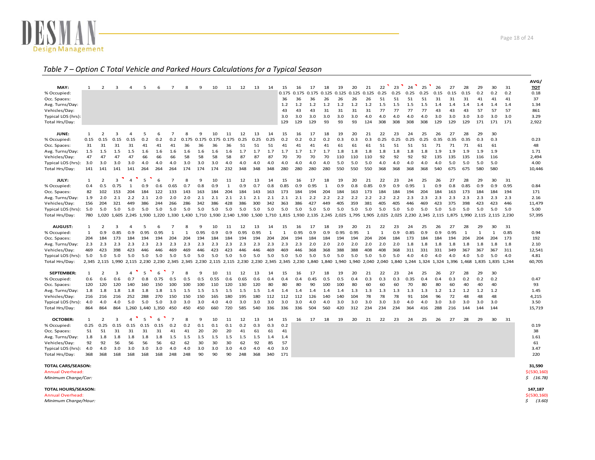

#### *Table 7 – Option C Total Vehicle and Parked Hours Calculations for <sup>a</sup> Typical Season*

|                           |      |                   |             |                |                                                                         |      |                |                                                                   |       |       |              |      |      |              |              |       |       |              |                                                                   |       |       |                   |      |      |              |      |       |              |                               |              |      | AVG/       |
|---------------------------|------|-------------------|-------------|----------------|-------------------------------------------------------------------------|------|----------------|-------------------------------------------------------------------|-------|-------|--------------|------|------|--------------|--------------|-------|-------|--------------|-------------------------------------------------------------------|-------|-------|-------------------|------|------|--------------|------|-------|--------------|-------------------------------|--------------|------|------------|
| MAY:                      | 1    | 2                 | 3           | $\Delta$       | 5                                                                       | 6    | $\mathcal{L}$  | 8                                                                 | 9     | 10    | 11           | 12   | 13   | 14           | 15           | 16    | 17    | 18           | 19                                                                | 20    | 21    | 22                | 23   | 24   | 25           | 26   | 27    | 28           | 29                            | 30           | 31   | <b>TOT</b> |
| % Occupied:               |      |                   |             |                |                                                                         |      |                |                                                                   |       |       |              |      |      |              | 0.175        | 0.175 | 0.175 | 0.125        | 0.125                                                             | 0.125 | 0.125 | 0.25              | 0.25 | 0.25 | 0.25         | 0.15 | 0.15  | 0.15         | 0.2                           | 0.2          | 0.2  | 0.18       |
| Occ. Spaces:              |      |                   |             |                |                                                                         |      |                |                                                                   |       |       |              |      |      |              | 36           | 36    | 36    | 26           | 26                                                                | 26    | 26    | 51                | 51   | 51   | 51           | 31   | 31    | 31           | 41                            | 41           | 41   | 37         |
| Avg. Turns/Day:           |      |                   |             |                |                                                                         |      |                |                                                                   |       |       |              |      |      |              | 1.2          | 1.2   | 1.2   | 1.2          | 1.2                                                               | 1.2   | 1.2   | 1.5               | 1.5  | 1.5  | 1.5          | 1.4  | 1.4   | 1.4          | 1.4                           | 1.4          | 1.4  | 1.34       |
| Vehicles/Day:             |      |                   |             |                |                                                                         |      |                |                                                                   |       |       |              |      |      |              | 43           | 43    | 43    | 31           | 31                                                                | 31    | 31    | 77                | 77   | 77   | 77           | 43   | 43    | 43           | 57                            | 57           | 57   | 861        |
| Typical LOS (hrs):        |      |                   |             |                |                                                                         |      |                |                                                                   |       |       |              |      |      |              | 3.0          | 3.0   | 3.0   | 3.0          | 3.0                                                               | 3.0   | 4.0   | 4.0               | 4.0  | 4.0  | 4.0          | 3.0  | 3.0   | 3.0          | 3.0                           | 3.0          | 3.0  | 3.29       |
| Total Hrs/Day:            |      |                   |             |                |                                                                         |      |                |                                                                   |       |       |              |      |      |              | 129          | 129   | 129   | 93           | 93                                                                | 93    | 124   | 308               | 308  | 308  | 308          | 129  | 129   | 129          | 171                           | 171          | 171  | 2,922      |
| JUNE:                     | 1    | $\overline{2}$    | 3           | 4              | 5                                                                       | 6    | $\overline{7}$ | 8                                                                 | 9     | 10    | 11           | 12   | 13   | 14           | 15           | 16    | 17    | 18           | 19                                                                | 20    | 21    | 22                | 23   | 24   | 25           | 26   | 27    | 28           | 29                            | 30           |      |            |
| % Occupied:               | 0.15 | 0.15              | 0.15        | 0.15           | 0.2                                                                     | 0.2  | 0.2            | 0.175                                                             | 0.175 | 0.175 | 0.175        | 0.25 | 0.25 | 0.25         | 0.2          | 0.2   | 0.2   | 0.2          | 0.3                                                               | 0.3   | 0.3   | 0.25              | 0.25 | 0.25 | 0.25         | 0.35 | 0.35  | 0.35         | 0.3                           | 0.3          |      | 0.23       |
| Occ. Spaces:              | 31   | 31                | 31          | 31             | 41                                                                      | 41   | 41             | 36                                                                | 36    | 36    | 36           | 51   | 51   | 51           | 41           | 41    | 41    | 41           | 61                                                                | 61    | 61    | 51                | 51   | 51   | 51           | 71   | 71    | 71           | 61                            | 61           |      | 48         |
| Avg. Turns/Day:           | 1.5  | 1.5               | 1.5         | 1.5            | 1.6                                                                     | 1.6  | 1.6            | 1.6                                                               | 1.6   | 1.6   | 1.6          | 1.7  | 1.7  | 1.7          | 1.7          | 1.7   | 1.7   | 1.7          | 1.8                                                               | 1.8   | 1.8   | 1.8               | 1.8  | 1.8  | 1.8          | 1.9  | 1.9   | 1.9          | 1.9                           | 1.9          |      | 1.71       |
| Vehicles/Day:             | 47   | 47                | 47          | 47             | 66                                                                      | 66   | 66             | 58                                                                | 58    | 58    | 58           | 87   | 87   | 87           | 70           | 70    | 70    | 70           | 110                                                               | 110   | 110   | 92                | 92   | 92   | 92           | 135  | 135   | 135          | 116                           | 116          |      | 2,494      |
| Typical LOS (hrs):        | 3.0  | 3.0               | 3.0         | 3.0            | 4.0                                                                     | 4.0  | 4.0            | 3.0                                                               | 3.0   | 3.0   | 4.0          | 4.0  | 4.0  | 4.0          | 4.0          | 4.0   | 4.0   | 4.0          | 5.0                                                               | 5.0   | 5.0   | 4.0               | 4.0  | 4.0  | 4.0          | 4.0  | 5.0   | 5.0          | 5.0                           | 5.0          |      | 4.00       |
| Total Hrs/Day:            | 141  | 141               | 141         | 141            | 264                                                                     | 264  | 264            | 174                                                               | 174   | 174   | 232          | 348  | 348  | 348          | 280          | 280   | 280   | 280          | 550                                                               | 550   | 550   | 368               | 368  | 368  | 368          | 540  | 675   | 675          | 580                           | 580          |      | 10,446     |
|                           |      |                   |             |                |                                                                         |      | 7              |                                                                   |       |       |              |      |      |              |              |       |       |              |                                                                   |       |       |                   |      |      |              |      |       |              |                               |              |      |            |
| JULY:                     | 1    | $\overline{2}$    | 3           | $\overline{4}$ | 5                                                                       | 6    |                | 8                                                                 | 9     | 10    | 11           | 12   | 13   | 14           | 15           | 16    | 17    | 18           | 19                                                                | 20    | 21    | 22                | 23   | 24   | 25           | 26   | 27    | 28           | 29                            | 30           | 31   |            |
| % Occupied:               | 0.4  | 0.5               | 0.75        | $\mathbf{1}$   | 0.9                                                                     | 0.6  | 0.65           | 0.7                                                               | 0.8   | 0.9   | $\mathbf{1}$ | 0.9  | 0.7  | 0.8          | 0.85         | 0.9   | 0.95  | $\mathbf{1}$ | 0.9                                                               | 0.8   | 0.85  | 0.9               | 0.9  | 0.95 | $\mathbf{1}$ | 0.9  | 0.8   | 0.85         | 0.9                           | 0.9          | 0.95 | 0.84       |
| Occ. Spaces:              | 82   | 102               | 153         | 204            | 184                                                                     | 122  | 133            | 143                                                               | 163   | 184   | 204          | 184  | 143  | 163          | 173          | 184   | 194   | 204          | 184                                                               | 163   | 173   | 184               | 184  | 194  | 204          | 184  | 163   | 173          | 184                           | 184          | 194  | 171        |
| Avg. Turns/Day:           | 1.9  | 2.0               | 2.1         | 2.2            | 2.1                                                                     | 2.0  | 2.0            | 2.0                                                               | 2.1   | 2.1   | 2.1          | 2.1  | 2.1  | 2.1          | 2.1          | 2.1   | 2.2   | 2.2          | 2.2                                                               | 2.2   | 2.2   | 2.2               | 2.2  | 2.3  | 2.3          | 2.3  | 2.3   | 2.3          | 2.3                           | 2.3          | 2.3  | 2.16       |
| Vehicles/Day:             | 156  | 204               | 321         | 449            | 386                                                                     | 244  | 266            | 286                                                               | 342   | 386   | 428          | 386  | 300  | 342          | 363          | 386   | 427   | 449          | 405                                                               | 359   | 381   | 405               | 405  | 446  | 469          | 423  | 375   | 398          | 423                           | 423          | 446  | 11,479     |
| Typical LOS (hrs):        | 5.0  | 5.0               | 5.0         | 5.0            | 5.0                                                                     | 5.0  | 5.0            | 5.0                                                               | 5.0   | 5.0   | 5.0          | 5.0  | 5.0  | 5.0          | 5.0          | 5.0   | 5.0   | 5.0          | 5.0                                                               | 5.0   | 5.0   | 5.0               | 5.0  | 5.0  | 5.0          | 5.0  | 5.0   | 5.0          | 5.0                           | 5.0          | 5.0  | 5.00       |
| Total Hrs/Day:            | 780  |                   | 1,020 1,605 |                | 2,245 1,930 1,220 1,330 1,430 1,710 1,930 2,140 1,930 1,500 1,710 1,815 |      |                |                                                                   |       |       |              |      |      |              |              |       |       |              | 1,930 2,135 2,245 2,025 1,795 1,905 2,025 2,025 2,230 2,345 2,115 |       |       |                   |      |      |              |      |       |              | 1,875 1,990 2,115 2,115 2,230 |              |      | 57,395     |
| <b>AUGUST:</b>            | 1    | 2                 | 3           | 4              | 5                                                                       | 6    | 7              | 8                                                                 | 9     | 10    | 11           | 12   | 13   | 14           | 15           | 16    | 17    | 18           | 19                                                                | 20    | 21    | 22                | 23   | 24   | 25           | 26   | 27    | 28           | 29                            | 30           | 31   |            |
| % Occupied:               | 1    | 0.9               | 0.85        | 0.9            | 0.95                                                                    | 0.95 | $\mathbf{1}$   | $\mathbf{1}$                                                      | 0.95  | 0.9   | 0.9          | 0.95 | 0.95 | $\mathbf{1}$ | $\mathbf{1}$ | 0.95  | 0.9   | 0.9          | 0.95                                                              | 0.95  | 1     | $\mathbf{1}$      | 0.9  | 0.85 | 0.9          | 0.9  | 0.95  | $\mathbf{1}$ | $\mathbf{1}$                  | $\mathbf{1}$ | 0.85 | 0.94       |
| Occ. Spaces:              | 204  | 184               | 173         | 184            | 194                                                                     | 194  | 204            | 204                                                               | 194   | 184   | 184          | 194  | 194  | 204          | 204          | 194   | 184   | 184          | 194                                                               | 194   | 204   | 204               | 184  | 173  | 184          | 184  | 194   | 204          | 204                           | 204          | 173  | 192        |
| Avg. Turns/Day:           | 2.3  | 2.3               | 2.3         | 2.3            | 2.3                                                                     | 2.3  | 2.3            | 2.3                                                               | 2.3   | 2.3   | 2.3          | 2.3  | 2.3  | 2.3          | 2.3          | 2.3   | 2.0   | 2.0          | 2.0                                                               | 2.0   | 2.0   | 2.0               | 2.0  | 1.8  | 1.8          | 1.8  | 1.8   | 1.8          | 1.8                           | 1.8          | 1.8  | 2.10       |
| Vehicles/Day:             | 469  | 423               | 398         | 423            | 446                                                                     | 446  | 469            | 469                                                               | 446   | 423   | 423          | 446  | 446  | 469          | 469          | 446   | 368   | 368          | 388                                                               | 388   | 408   | 408               | 368  | 311  | 331          | 331  | 349   | 367          | 367                           | 367          | 311  | 12,541     |
| Typical LOS (hrs):        | 5.0  | 5.0               | 5.0         | 5.0            | 5.0                                                                     | 5.0  | 5.0            | 5.0                                                               | 5.0   | 5.0   | 5.0          | 5.0  | 5.0  | 5.0          | 5.0          | 5.0   | 5.0   | 5.0          | 5.0                                                               | 5.0   | 5.0   | 5.0               | 5.0  | 4.0  | 4.0          | 4.0  | 4.0   | 4.0          | 5.0                           | 5.0          | 4.0  | 4.81       |
| Total Hrs/Day:            |      | 2,345 2,115 1,990 |             | 2,115          |                                                                         |      |                | 2,230 2,230 2,345 2,345 2,230 2,115 2,115 2,230 2,230 2,345 2,345 |       |       |              |      |      |              |              | 2,230 | 1,840 |              | 1,840 1,940 1,940 2,040                                           |       |       | 2,040 1,840 1,244 |      |      | 1,324 1,324  |      | 1,396 | 1,468        | 1,835 1,835 1,244             |              |      | 60,705     |
| <b>SEPTEMBER:</b>         | 1    | $\overline{2}$    | 3           | $\overline{4}$ | 5                                                                       | 6    | $\overline{7}$ | 8                                                                 | 9     | 10    | 11           | 12   | 13   | 14           | 15           | 16    | 17    | 18           | 19                                                                | 20    | 21    | 22                | 23   | 24   | 25           | 26   | 27    | 28           | 29                            | 30           |      |            |
| % Occupied:               | 0.6  | 0.6               | 0.6         | 0.7            | 0.8                                                                     | 0.75 | 0.5            | 0.5                                                               | 0.5   | 0.55  | 0.6          | 0.65 | 0.6  | 0.4          | 0.4          | 0.4   | 0.45  | 0.5          | 0.5                                                               | 0.4   | 0.3   | 0.3               | 0.3  | 0.35 | 0.4          | 0.4  | 0.3   | 0.2          | 0.2                           | 0.2          |      | 0.47       |
| Occ. Spaces:              | 120  | 120               | 120         | 140            | 160                                                                     | 150  | 100            | 100                                                               | 100   | 110   | 120          | 130  | 120  | 80           | 80           | 80    | 90    | 100          | 100                                                               | 80    | 60    | 60                | 60   | 70   | 80           | 80   | 60    | 40           | 40                            | 40           |      | 93         |
| Avg. Turns/Day:           | 1.8  | 1.8               | 1.8         | 1.8            | 1.8                                                                     | 1.8  | 1.5            | 1.5                                                               | 1.5   | 1.5   | 1.5          | 1.5  | 1.5  | 1.4          | 1.4          | 1.4   | 1.4   | 1.4          | 1.4                                                               | 1.3   | 1.3   | 1.3               | 1.3  | 1.3  | 1.3          | 1.2  | 1.2   | 1.2          | 1.2                           | 1.2          |      | 1.45       |
| Vehicles/Day:             | 216  | 216               | 216         | 252            | 288                                                                     | 270  | 150            | 150                                                               | 150   | 165   | 180          | 195  | 180  | 112          | 112          | 112   | 126   | 140          | 140                                                               | 104   | 78    | 78                | 78   | 91   | 104          | 96   | 72    | 48           | 48                            | 48           |      | 4,215      |
| Typical LOS (hrs):        | 4.0  | 4.0               | 4.0         | 5.0            | 5.0                                                                     | 5.0  | 3.0            | 3.0                                                               | 3.0   | 4.0   | 4.0          | 3.0  | 3.0  | 3.0          | 3.0          | 3.0   | 4.0   | 4.0          | 3.0                                                               | 3.0   | 3.0   | 3.0               | 3.0  | 4.0  | 4.0          | 3.0  | 3.0   | 3.0          | 3.0                           | 3.0          |      | 3.50       |
| Total Hrs/Day:            | 864  | 864               | 864         |                | 1,260 1,440 1,350                                                       |      | 450            | 450                                                               | 450   | 660   | 720          | 585  | 540  | 336          | 336          | 336   | 504   | 560          | 420                                                               | 312   | 234   | 234               | 234  | 364  | 416          | 288  | 216   | 144          | 144                           | 144          |      | 15,719     |
|                           |      |                   |             |                |                                                                         |      |                |                                                                   |       |       |              |      |      |              |              |       |       |              |                                                                   |       |       |                   |      |      |              |      |       |              |                               |              |      |            |
| <b>OCTOBER:</b>           | 1    | $\overline{2}$    | 3           | $\Delta$       | 5                                                                       | 6    | $\overline{7}$ | 8                                                                 | 9     | 10    | 11           | 12   | 13   | 14           | 15           | 16    | 17    | 18           | 19                                                                | 20    | 21    | 22                | 23   | 24   | 25           | 26   | 27    | 28           | 29                            | 30           | 31   |            |
| % Occupied:               | 0.25 | 0.25              | 0.15        | 0.15           | 0.15                                                                    | 0.15 | 0.2            | 0.2                                                               | 0.1   | 0.1   | 0.1          | 0.2  | 0.3  | 0.3          | 0.2          |       |       |              |                                                                   |       |       |                   |      |      |              |      |       |              |                               |              |      | 0.19       |
| Occ. Spaces:              | 51   | 51                | 31          | 31             | 31                                                                      | 31   | 41             | 41                                                                | 20    | 20    | 20           | 41   | 61   | 61           | 41           |       |       |              |                                                                   |       |       |                   |      |      |              |      |       |              |                               |              |      | 38         |
| Avg. Turns/Day:           | 1.8  | 1.8               | 1.8         | 1.8            | 1.8                                                                     | 1.8  | 1.5            | 1.5                                                               | 1.5   | 1.5   | 1.5          | 1.5  | 1.5  | 1.4          | 1.4          |       |       |              |                                                                   |       |       |                   |      |      |              |      |       |              |                               |              |      | 1.61       |
| Vehicles/Day:             | 92   | 92                | 56          | 56             | 56                                                                      | 56   | 62             | 62                                                                | 30    | 30    | 30           | 62   | 92   | 85           | 57           |       |       |              |                                                                   |       |       |                   |      |      |              |      |       |              |                               |              |      | 61         |
| Typical LOS (hrs):        | 4.0  | 4.0               | 3.0         | 3.0            | 3.0                                                                     | 3.0  | 4.0            | 4.0                                                               | 3.0   | 3.0   | 3.0          | 4.0  | 4.0  | 4.0          | 3.0          |       |       |              |                                                                   |       |       |                   |      |      |              |      |       |              |                               |              |      | 3.47       |
| Total Hrs/Day:            | 368  | 368               | 168         | 168            | 168                                                                     | 168  | 248            | 248                                                               | 90    | 90    | 90           | 248  | 368  | 340          | 171          |       |       |              |                                                                   |       |       |                   |      |      |              |      |       |              |                               |              |      | 220        |
| <b>TOTAL CARS/SEASON:</b> |      |                   |             |                |                                                                         |      |                |                                                                   |       |       |              |      |      |              |              |       |       |              |                                                                   |       |       |                   |      |      |              |      |       |              |                               |              |      | 31,590     |

 $\frac{1}{2}$  (530,160)

Annual Overhead:*MinimumCharge/Car: \$ (16.78)*

**TOTAL HOURS/SEASON: HOURS/SEASON: 147,187**

Annual Overhead: $\frac{1}{2}$  (530,160) *MinimumCharge/Hour: \$ (3.60)*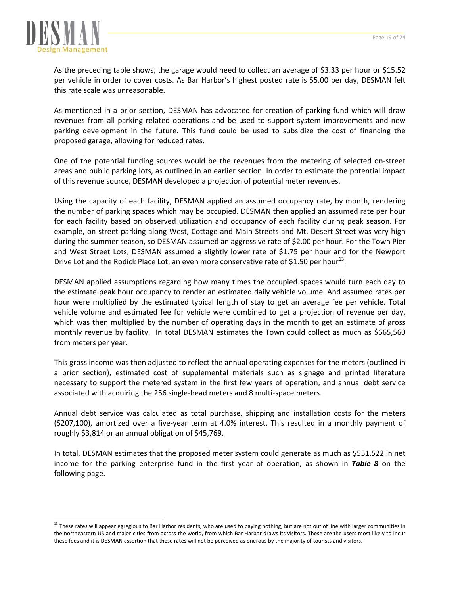

 $\overline{a}$ 

As the preceding table shows, the garage would need to collect an average of \$3.33 per hour or \$15.52 per vehicle in order to cover costs. As Bar Harbor's highest posted rate is \$5.00 per day, DESMAN felt this rate scale was unreasonable.

As mentioned in a prior section, DESMAN has advocated for creation of parking fund which will draw revenues from all parking related operations and be used to support system improvements and new parking development in the future. This fund could be used to subsidize the cost of financing the proposed garage, allowing for reduced rates.

One of the potential funding sources would be the revenues from the metering of selected on‐street areas and public parking lots, as outlined in an earlier section. In order to estimate the potential impact of this revenue source, DESMAN developed a projection of potential meter revenues.

Using the capacity of each facility, DESMAN applied an assumed occupancy rate, by month, rendering the number of parking spaces which may be occupied. DESMAN then applied an assumed rate per hour for each facility based on observed utilization and occupancy of each facility during peak season. For example, on‐street parking along West, Cottage and Main Streets and Mt. Desert Street was very high during the summer season, so DESMAN assumed an aggressive rate of \$2.00 per hour. For the Town Pier and West Street Lots, DESMAN assumed a slightly lower rate of \$1.75 per hour and for the Newport Drive Lot and the Rodick Place Lot, an even more conservative rate of \$1.50 per hour<sup>13</sup>.

DESMAN applied assumptions regarding how many times the occupied spaces would turn each day to the estimate peak hour occupancy to render an estimated daily vehicle volume. And assumed rates per hour were multiplied by the estimated typical length of stay to get an average fee per vehicle. Total vehicle volume and estimated fee for vehicle were combined to get a projection of revenue per day, which was then multiplied by the number of operating days in the month to get an estimate of gross monthly revenue by facility. In total DESMAN estimates the Town could collect as much as \$665,560 from meters per year.

This gross income was then adjusted to reflect the annual operating expenses for the meters (outlined in a prior section), estimated cost of supplemental materials such as signage and printed literature necessary to support the metered system in the first few years of operation, and annual debt service associated with acquiring the 256 single‐head meters and 8 multi‐space meters.

Annual debt service was calculated as total purchase, shipping and installation costs for the meters (\$207,100), amortized over a five‐year term at 4.0% interest. This resulted in a monthly payment of roughly \$3,814 or an annual obligation of \$45,769.

In total, DESMAN estimates that the proposed meter system could generate as much as \$551,522 in net income for the parking enterprise fund in the first year of operation, as shown in *Table 8* on the following page.

<sup>&</sup>lt;sup>13</sup> These rates will appear egregious to Bar Harbor residents, who are used to paying nothing, but are not out of line with larger communities in the northeastern US and major cities from across the world, from which Bar Harbor draws its visitors. These are the users most likely to incur these fees and it is DESMAN assertion that these rates will not be perceived as onerous by the majority of tourists and visitors.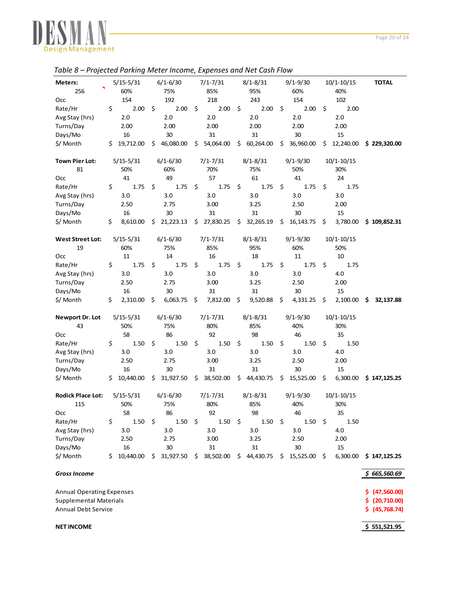

|                                  |    | etea : armig ineter income, exp |     |              |                 |    |              |     |              |     |                |   |                |
|----------------------------------|----|---------------------------------|-----|--------------|-----------------|----|--------------|-----|--------------|-----|----------------|---|----------------|
| Meters:                          |    | $5/15 - 5/31$                   |     | $6/1 - 6/30$ | $7/1 - 7/31$    |    | $8/1 - 8/31$ |     | $9/1 - 9/30$ |     | $10/1 - 10/15$ |   | <b>TOTAL</b>   |
| 256                              |    | 60%                             |     | 75%          | 85%             |    | 95%          |     | 60%          |     | 40%            |   |                |
| Occ                              |    | 154                             |     | 192          | 218             |    | 243          |     | 154          |     | 102            |   |                |
| Rate/Hr                          | \$ | 2.00                            | \$  | 2.00         | \$<br>2.00      | \$ | 2.00         | \$  | 2.00         | \$  | 2.00           |   |                |
| Avg Stay (hrs)                   |    | 2.0                             |     | 2.0          | 2.0             |    | 2.0          |     | 2.0          |     | 2.0            |   |                |
| Turns/Day                        |    | 2.00                            |     | 2.00         | 2.00            |    | 2.00         |     | 2.00         |     | 2.00           |   |                |
| Days/Mo                          |    | 16                              |     | 30           | 31              |    | 31           |     | 30           |     | 15             |   |                |
| \$/ Month                        | \$ | 19,712.00                       | \$  | 46,080.00    | \$ 54,064.00    |    | \$60,264.00  |     | \$36,960.00  | S.  | 12,240.00      |   | \$229,320.00   |
|                                  |    |                                 |     |              |                 |    |              |     |              |     |                |   |                |
| <b>Town Pier Lot:</b>            |    | $5/15 - 5/31$                   |     | $6/1 - 6/30$ | $7/1 - 7/31$    |    | $8/1 - 8/31$ |     | $9/1 - 9/30$ |     | $10/1 - 10/15$ |   |                |
| 81                               |    | 50%                             |     | 60%          | 70%             |    | 75%          |     | 50%          |     | 30%            |   |                |
| Осс                              |    | 41                              |     | 49           | 57              |    | 61           |     | 41           |     | 24             |   |                |
| Rate/Hr                          | \$ | 1.75                            | \$  | 1.75         | \$<br>1.75      | S  | 1.75         | \$  | 1.75         | \$  | 1.75           |   |                |
| Avg Stay (hrs)                   |    | 3.0                             |     | 3.0          | 3.0             |    | 3.0          |     | 3.0          |     | 3.0            |   |                |
| Turns/Day                        |    | 2.50                            |     | 2.75         | 3.00            |    | 3.25         |     | 2.50         |     | 2.00           |   |                |
| Days/Mo                          |    | 16                              |     | 30           | 31              |    | 31           |     | 30           |     | 15             |   |                |
| \$/ Month                        | \$ | 8,610.00                        | \$  | 21,223.13    | \$27,830.25     |    | \$32,265.19  |     | \$16,143.75  | \$  | 3,780.00       |   | \$109,852.31   |
|                                  |    |                                 |     |              |                 |    |              |     |              |     |                |   |                |
| <b>West Street Lot:</b>          |    | $5/15 - 5/31$                   |     | $6/1 - 6/30$ | $7/1 - 7/31$    |    | $8/1 - 8/31$ |     | $9/1 - 9/30$ |     | $10/1 - 10/15$ |   |                |
| 19                               |    | 60%                             |     | 75%          | 85%             |    | 95%          |     | 60%          |     | 50%            |   |                |
| Occ                              |    | 11                              |     | 14           | 16              |    | 18           |     | 11           |     | 10             |   |                |
| Rate/Hr                          | \$ | 1.75                            | \$  | 1.75         | \$<br>1.75      | \$ | 1.75         | \$  | 1.75         | \$  | 1.75           |   |                |
| Avg Stay (hrs)                   |    | 3.0                             |     | 3.0          | 3.0             |    | 3.0          |     | 3.0          |     | 4.0            |   |                |
| Turns/Day                        |    | 2.50                            |     | 2.75         | 3.00            |    | 3.25         |     | 2.50         |     | 2.00           |   |                |
| Days/Mo                          |    | 16                              |     | 30           | 31              |    | 31           |     | 30           |     | 15             |   |                |
| \$/ Month                        | \$ | 2,310.00                        | \$  | 6,063.75     | \$<br>7,812.00  | \$ | 9,520.88     | \$  | 4,331.25     | \$  | 2,100.00       | S | 32,137.88      |
|                                  |    |                                 |     |              |                 |    |              |     |              |     |                |   |                |
| Newport Dr. Lot                  |    | $5/15 - 5/31$                   |     | $6/1 - 6/30$ | $7/1 - 7/31$    |    | $8/1 - 8/31$ |     | $9/1 - 9/30$ |     | $10/1 - 10/15$ |   |                |
| 43                               |    | 50%                             |     | 75%          | 80%             |    | 85%          |     | 40%          |     | 30%            |   |                |
| Occ                              |    | 58                              |     | 86           | 92              |    | 98           |     | 46           |     | 35             |   |                |
| Rate/Hr                          | \$ | 1.50                            | \$  | 1.50         | \$<br>1.50      | \$ | 1.50         | \$  | 1.50         | \$  | 1.50           |   |                |
| Avg Stay (hrs)                   |    | 3.0                             |     | 3.0          | 3.0             |    | 3.0          |     | 3.0          |     | 4.0            |   |                |
| Turns/Day                        |    | 2.50                            |     | 2.75         | 3.00            |    | 3.25         |     | 2.50         |     | 2.00           |   |                |
| Days/Mo                          |    | 16                              |     | 30           | 31              |    | 31           |     | 30           |     | 15             |   |                |
| \$/ Month                        |    | \$10,440.00                     |     | \$31,927.50  | \$38,502.00     |    | \$44,430.75  |     | \$15,525.00  | -\$ | 6,300.00       |   | \$147,125.25   |
|                                  |    |                                 |     |              |                 |    |              |     |              |     |                |   |                |
| <b>Rodick Place Lot:</b>         |    | $5/15 - 5/31$                   |     | $6/1 - 6/30$ | $7/1 - 7/31$    |    | $8/1 - 8/31$ |     | $9/1 - 9/30$ |     | $10/1 - 10/15$ |   |                |
| 115                              |    | 50%                             |     | 75%          | 80%             |    | 85%          |     | 40%          |     | 30%            |   |                |
| Осс                              |    | 58                              |     | 86           | 92              |    | 98           |     | 46           |     | 35             |   |                |
| Rate/Hr                          | \$ | 1.50                            | \$  | 1.50         | \$<br>1.50      | \$ | 1.50         | \$  | 1.50         | \$  | 1.50           |   |                |
| Avg Stay (hrs)                   |    | 3.0                             |     | 3.0          | 3.0             |    | 3.0          |     | 3.0          |     | 4.0            |   |                |
| Turns/Day                        |    | 2.50                            |     | 2.75         | 3.00            |    | 3.25         |     | 2.50         |     | 2.00           |   |                |
| Days/Mo                          |    | 16                              |     | 30           | 31              |    | 31           |     | 30           |     | 15             |   |                |
| \$/ Month                        | S  | 10,440.00                       | \$. | 31,927.50    | \$<br>38,502.00 |    | \$44,430.75  | \$. | 15,525.00    | \$  | 6,300.00       |   | \$147,125.25   |
|                                  |    |                                 |     |              |                 |    |              |     |              |     |                |   |                |
| <b>Gross Income</b>              |    |                                 |     |              |                 |    |              |     |              |     |                |   | \$665,560.69   |
| <b>Annual Operating Expenses</b> |    |                                 |     |              |                 |    |              |     |              |     |                |   | \$ (47,560.00) |
| <b>Supplemental Materials</b>    |    |                                 |     |              |                 |    |              |     |              |     |                |   | \$ (20,710.00) |
| <b>Annual Debt Service</b>       |    |                                 |     |              |                 |    |              |     |              |     |                |   | \$ (45,768.74) |
|                                  |    |                                 |     |              |                 |    |              |     |              |     |                |   |                |
| <b>NET INCOME</b>                |    |                                 |     |              |                 |    |              |     |              |     |                |   | \$551,521.95   |

# *Table 8 – Projected Parking Meter Income, Expenses and Net Cash Flow*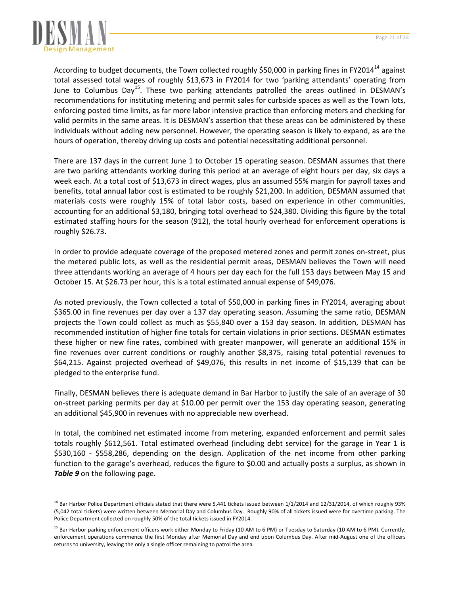

 $\overline{a}$ 

According to budget documents, the Town collected roughly \$50,000 in parking fines in FY2014<sup>14</sup> against total assessed total wages of roughly \$13,673 in FY2014 for two 'parking attendants' operating from June to Columbus Day<sup>15</sup>. These two parking attendants patrolled the areas outlined in DESMAN's recommendations for instituting metering and permit sales for curbside spaces as well as the Town lots, enforcing posted time limits, as far more labor intensive practice than enforcing meters and checking for valid permits in the same areas. It is DESMAN's assertion that these areas can be administered by these individuals without adding new personnel. However, the operating season is likely to expand, as are the hours of operation, thereby driving up costs and potential necessitating additional personnel.

There are 137 days in the current June 1 to October 15 operating season. DESMAN assumes that there are two parking attendants working during this period at an average of eight hours per day, six days a week each. At a total cost of \$13,673 in direct wages, plus an assumed 55% margin for payroll taxes and benefits, total annual labor cost is estimated to be roughly \$21,200. In addition, DESMAN assumed that materials costs were roughly 15% of total labor costs, based on experience in other communities, accounting for an additional \$3,180, bringing total overhead to \$24,380. Dividing this figure by the total estimated staffing hours for the season (912), the total hourly overhead for enforcement operations is roughly \$26.73.

In order to provide adequate coverage of the proposed metered zones and permit zones on‐street, plus the metered public lots, as well as the residential permit areas, DESMAN believes the Town will need three attendants working an average of 4 hours per day each for the full 153 days between May 15 and October 15. At \$26.73 per hour, this is a total estimated annual expense of \$49,076.

As noted previously, the Town collected a total of \$50,000 in parking fines in FY2014, averaging about \$365.00 in fine revenues per day over a 137 day operating season. Assuming the same ratio, DESMAN projects the Town could collect as much as \$55,840 over a 153 day season. In addition, DESMAN has recommended institution of higher fine totals for certain violations in prior sections. DESMAN estimates these higher or new fine rates, combined with greater manpower, will generate an additional 15% in fine revenues over current conditions or roughly another \$8,375, raising total potential revenues to \$64,215. Against projected overhead of \$49,076, this results in net income of \$15,139 that can be pledged to the enterprise fund.

Finally, DESMAN believes there is adequate demand in Bar Harbor to justify the sale of an average of 30 on‐street parking permits per day at \$10.00 per permit over the 153 day operating season, generating an additional \$45,900 in revenues with no appreciable new overhead.

In total, the combined net estimated income from metering, expanded enforcement and permit sales totals roughly \$612,561. Total estimated overhead (including debt service) for the garage in Year 1 is \$530,160 ‐ \$558,286, depending on the design. Application of the net income from other parking function to the garage's overhead, reduces the figure to \$0.00 and actually posts a surplus, as shown in *Table 9* on the following page.

 $14$  Bar Harbor Police Department officials stated that there were 5,441 tickets issued between 1/1/2014 and 12/31/2014, of which roughly 93% (5,042 total tickets) were written between Memorial Day and Columbus Day. Roughly 90% of all tickets issued were for overtime parking. The Police Department collected on roughly 50% of the total tickets issued in FY2014.

<sup>&</sup>lt;sup>15</sup> Bar Harbor parking enforcement officers work either Monday to Friday (10 AM to 6 PM) or Tuesday to Saturday (10 AM to 6 PM). Currently, enforcement operations commence the first Monday after Memorial Day and end upon Columbus Day. After mid‐August one of the officers returns to university, leaving the only a single officer remaining to patrol the area.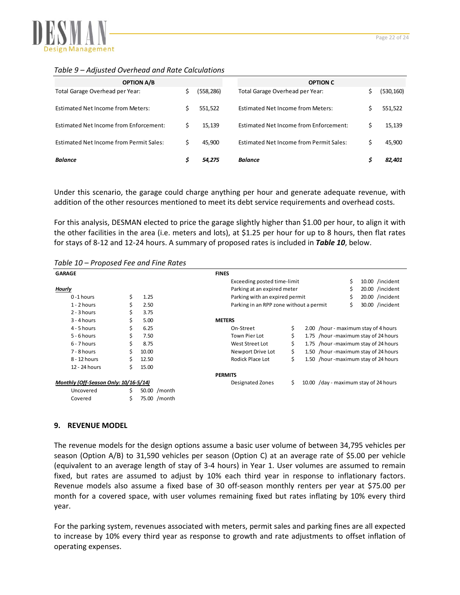

## *Table 9 – Adjusted Overhead and Rate Calculations*

| <b>OPTION A/B</b>                        |    |           | <b>OPTION C</b>                          |            |
|------------------------------------------|----|-----------|------------------------------------------|------------|
| Total Garage Overhead per Year:          | Ś. | (558,286) | Total Garage Overhead per Year:          | (530, 160) |
| <b>Estimated Net Income from Meters:</b> |    | 551,522   | <b>Estimated Net Income from Meters:</b> | 551,522    |
| Estimated Net Income from Enforcement:   |    | 15,139    | Estimated Net Income from Enforcement:   | 15,139     |
| Estimated Net Income from Permit Sales:  | Ś  | 45,900    | Estimated Net Income from Permit Sales:  | 45,900     |
| <b>Balance</b>                           |    | 54,275    | <b>Balance</b>                           | 82.401     |

Under this scenario, the garage could charge anything per hour and generate adequate revenue, with addition of the other resources mentioned to meet its debt service requirements and overhead costs.

For this analysis, DESMAN elected to price the garage slightly higher than \$1.00 per hour, to align it with the other facilities in the area (i.e. meters and lots), at \$1.25 per hour for up to 8 hours, then flat rates for stays of 8‐12 and 12‐24 hours. A summary of proposed rates is included in *Table 10*, below.

| , unic ±u                             |    | r roposed rec and rine nates |                |                                         |    |                                       |                                        |
|---------------------------------------|----|------------------------------|----------------|-----------------------------------------|----|---------------------------------------|----------------------------------------|
| <b>GARAGE</b>                         |    |                              | <b>FINES</b>   |                                         |    |                                       |                                        |
|                                       |    |                              |                | Exceeding posted time-limit             |    |                                       | \$<br>10.00 /incident                  |
| Hourly                                |    |                              |                | Parking at an expired meter             |    |                                       | 20.00 /incident                        |
| $0 - 1$ hours                         | \$ | 1.25                         |                | Parking with an expired permit          |    |                                       | \$<br>20.00 /incident                  |
| $1 - 2$ hours                         | \$ | 2.50                         |                | Parking in an RPP zone without a permit |    |                                       | \$<br>30.00 /incident                  |
| $2 - 3$ hours                         | \$ | 3.75                         |                |                                         |    |                                       |                                        |
| $3 - 4$ hours                         | \$ | 5.00                         | <b>METERS</b>  |                                         |    |                                       |                                        |
| 4 - 5 hours                           | \$ | 6.25                         |                | On-Street                               | \$ |                                       | 2.00 /hour - maximum stay of 4 hours   |
| $5 - 6$ hours                         | \$ | 7.50                         |                | Town Pier Lot                           | \$ |                                       | 1.75 / hour - maximum stay of 24 hours |
| $6 - 7$ hours                         | \$ | 8.75                         |                | West Street Lot                         | \$ |                                       | 1.75 / hour - maximum stay of 24 hours |
| 7 - 8 hours                           | \$ | 10.00                        |                | Newport Drive Lot                       | \$ |                                       | 1.50 / hour - maximum stay of 24 hours |
| 8 - 12 hours                          | \$ | 12.50                        |                | Rodick Place Lot                        | \$ |                                       | 1.50 /hour - maximum stay of 24 hours  |
| 12 - 24 hours                         | Ś. | 15.00                        |                |                                         |    |                                       |                                        |
|                                       |    |                              | <b>PERMITS</b> |                                         |    |                                       |                                        |
| Monthly (Off-Season Only: 10/16-5/14) |    |                              |                | Designated Zones                        | Ś. | 10.00 /day - maximum stay of 24 hours |                                        |
| Uncovered                             | \$ | 50.00 / month                |                |                                         |    |                                       |                                        |
| Covered                               | Ś  | 75.00 /month                 |                |                                         |    |                                       |                                        |

*Table 10 – Proposed Fee and Fine Rates*

## **9. REVENUE MODEL**

The revenue models for the design options assume a basic user volume of between 34,795 vehicles per season (Option A/B) to 31,590 vehicles per season (Option C) at an average rate of \$5.00 per vehicle (equivalent to an average length of stay of 3‐4 hours) in Year 1. User volumes are assumed to remain fixed, but rates are assumed to adjust by 10% each third year in response to inflationary factors. Revenue models also assume a fixed base of 30 off‐season monthly renters per year at \$75.00 per month for a covered space, with user volumes remaining fixed but rates inflating by 10% every third year.

For the parking system, revenues associated with meters, permit sales and parking fines are all expected to increase by 10% every third year as response to growth and rate adjustments to offset inflation of operating expenses.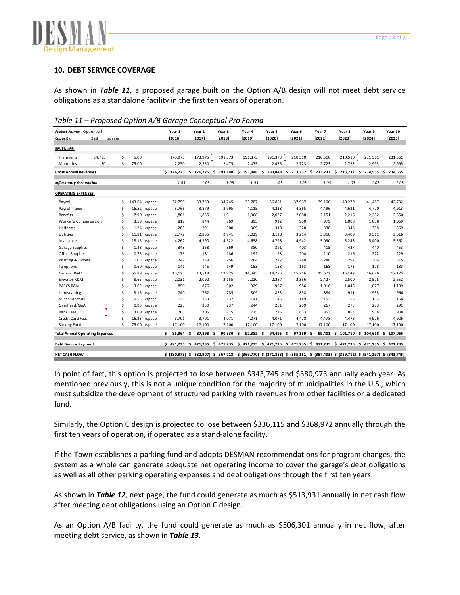

#### **10. DEBT SERVICE COVERAGE**

As shown in *Table 11,* a proposed garage built on the Option A/B design will not meet debt service obligations as a standalone facility in the first ten years of operation.

| Table 11 - Proposed Option A/B Garage Conceptual Pro Forma |  |  |  |  |
|------------------------------------------------------------|--|--|--|--|
|------------------------------------------------------------|--|--|--|--|

| Project Name: Option A/B               |        |   |        |       |                | Year 1            | Year 2                                                                                                                            | Year 3    |     | Year 4    | Year 5    | Year 6                                                                       | Year 7  | Year 8  | Year 9                          | Year 10 |
|----------------------------------------|--------|---|--------|-------|----------------|-------------------|-----------------------------------------------------------------------------------------------------------------------------------|-----------|-----|-----------|-----------|------------------------------------------------------------------------------|---------|---------|---------------------------------|---------|
| Capacity:                              | 228    |   | spaces |       |                | [2016]            | [2017]                                                                                                                            | [2018]    |     | [2019]    | [2020]    | [2021]                                                                       | [2022]  | [2023]  | [2024]                          | [2025]  |
| <b>REVENUES:</b>                       |        |   |        |       |                |                   |                                                                                                                                   |           |     |           |           |                                                                              |         |         |                                 |         |
| Transients                             | 34,795 |   | \$     | 5.00  |                | 173,975           | 173,975                                                                                                                           | 191,373   |     | 191,373   | 191.373   | 210,510                                                                      | 210,510 | 210,510 | 231,561                         | 231,561 |
| Monthlies                              | 30     |   | Ś      | 75.00 |                | 2,250             | 2,250                                                                                                                             | 2,475     |     | 2,475     | 2,475     | 2,723                                                                        | 2,723   | 2,723   | 2,995                           | 2,995   |
| <b>Gross Annual Revenues</b>           |        |   |        |       |                |                   | $$176,225$$ $$176,225$                                                                                                            | \$193,848 |     |           |           | \$ 193,848 \$ 193,848 \$ 213,232 \$ 213,232 \$ 213,232 \$ 234,555 \$ 234,555 |         |         |                                 |         |
| <b>Inflationary Assumption:</b>        |        |   |        |       |                | 1.03              | 1.03                                                                                                                              | 1.03      |     | 1.03      | 1.03      | 1.03                                                                         | 1.03    | 1.03    | 1.03                            | 1.03    |
| <b>OPERATING EXPENSES:</b>             |        |   |        |       |                |                   |                                                                                                                                   |           |     |           |           |                                                                              |         |         |                                 |         |
| Payroll                                |        |   | \$     |       | 143.64 /space  | 32,750            | 33,733                                                                                                                            | 34,745    |     | 35,787    | 36,861    | 37,967                                                                       | 39,106  | 40,279  | 41,487                          | 42,732  |
| Payroll Taxes                          |        |   | \$     |       | 16.52 /space   | 3,766             | 3,879                                                                                                                             | 3,995     |     | 4,115     | 4,238     | 4,365                                                                        | 4,496   | 4,631   | 4,770                           | 4,913   |
| <b>Benefits</b>                        |        |   | \$     |       | $7.90$ /space  | 1,801             | 1,855                                                                                                                             | 1,911     |     | 1,968     | 2,027     | 2,088                                                                        | 2,151   | 2,216   | 2,282                           | 2,350   |
| Worker's Compensation                  |        |   | \$     |       | 3.59 /space    | 819               | 844                                                                                                                               | 869       |     | 895       | 922       | 950                                                                          | 979     | 1,008   | 1,038                           | 1,069   |
| Uniforms                               |        |   | Ś      |       | $1.24$ /space  | 283               | 291                                                                                                                               | 300       |     | 309       | 318       | 328                                                                          | 338     | 348     | 358                             | 369     |
| Utilities                              |        |   | Ś      |       | $11.81$ /space | 2,772             | 2,855                                                                                                                             | 2,941     |     | 3,029     | 3,120     | 3,214                                                                        | 3,310   | 3,409   | 3,511                           | 3,616   |
| Insurance                              |        |   | Ś      |       | 18.15 /space   | 4,262             | 4,390                                                                                                                             | 4,522     |     | 4,658     | 4,798     | 4,942                                                                        | 5,090   | 5,243   | 5,400                           | 5,562   |
| Garage Supplies                        |        |   | Ś      |       | $1.48$ /space  | 348               | 358                                                                                                                               | 369       |     | 380       | 391       | 403                                                                          | 415     | 427     | 440                             | 453     |
| Office Supplies                        |        |   | Ś      |       | $0.75$ /space  | 176               | 181                                                                                                                               | 186       |     | 192       | 198       | 204                                                                          | 210     | 216     | 222                             | 229     |
| Printing & Tickets                     |        |   | Ś      | 1.03  | /space         | 242               | 249                                                                                                                               | 256       |     | 264       | 272       | 280                                                                          | 288     | 297     | 306                             | 315     |
| Telephone                              |        |   | Ś      | 0.60  | /space         | 141               | 145                                                                                                                               | 149       |     | 153       | 158       | 163                                                                          | 168     | 173     | 178                             | 183     |
| General R&M                            |        |   | Ś      | 55.89 | /space         | 13,125            | 13,519                                                                                                                            | 13,925    |     | 14,343    | 14,773    | 15,216                                                                       | 15,672  | 16,142  | 16,626                          | 17,125  |
| Elevator R&M                           |        |   | \$     | 8.65  | /space         | 2,031             | 2,092                                                                                                                             | 2,155     |     | 2,220     | 2,287     | 2,356                                                                        | 2,427   | 2,500   | 2,575                           | 2,652   |
| PARCS R&M                              |        |   | Ś      |       | $3.62$ /space  | 850               | 876                                                                                                                               | 902       |     | 929       | 957       | 986                                                                          | 1,016   | 1,046   | 1,077                           | 1,109   |
| Landscaping                            |        |   | \$     |       | $3.15$ /space  | 740               | 762                                                                                                                               | 785       |     | 809       | 833       | 858                                                                          | 884     | 911     | 938                             | 966     |
| Miscellaneous                          |        |   | \$     |       | $0.55$ /space  | 129               | 133                                                                                                                               | 137       |     | 141       | 145       | 149                                                                          | 153     | 158     | 163                             | 168     |
| Overhead/G&A                           |        | ч | \$     |       | $0.95$ /space  | 223               | 230                                                                                                                               | 237       |     | 244       | 251       | 259                                                                          | 267     | 275     | 283                             | 291     |
| <b>Bank Fees</b>                       |        |   | \$     |       | 3.09 /space    | 705               | 705                                                                                                                               | 775       |     | 775       | 775       | 853                                                                          | 853     | 853     | 938                             | 938     |
| <b>Credit Card Fees</b>                |        |   | Ś      |       | 16.23 /space   | 3,701             | 3,701                                                                                                                             | 4,071     |     | 4,071     | 4,071     | 4,478                                                                        | 4,478   | 4,478   | 4,926                           | 4,926   |
| Sinking Fund                           |        |   | Ś      |       | 75.00 /space   | 17,100            | 17,100                                                                                                                            | 17,100    |     | 17,100    | 17,100    | 17,100                                                                       | 17,100  | 17,100  | 17,100                          | 17,100  |
| <b>Total Annual Operating Expenses</b> |        |   |        |       |                | \$<br>$85,964$ \$ | 87,898 \$                                                                                                                         | 90,330    | - Ś | 92,382 \$ | 94,495 \$ | $97,159$ \$                                                                  |         |         | 99,401 \$ 101,710 \$ 104,618 \$ | 107,066 |
| <b>Debt Service Payment</b>            |        |   |        |       |                |                   | $$471,235$ $$471,235$ $$471,235$                                                                                                  |           |     |           |           | \$ 471,235 \$ 471,235 \$ 471,235 \$ 471,235 \$ 471,235 \$ 471,235 \$ 471,235 |         |         |                                 |         |
| <b>NET CASH FLOW</b>                   |        |   |        |       |                |                   | \$ (380,973) \$ (382,907) \$ (367,718) \$ (369,770) \$ (371,883) \$ (355,161) \$ (357,403) \$ (359,712) \$ (341,297) \$ (343,745) |           |     |           |           |                                                                              |         |         |                                 |         |

In point of fact, this option is projected to lose between \$343,745 and \$380,973 annually each year. As mentioned previously, this is not a unique condition for the majority of municipalities in the U.S., which must subsidize the development of structured parking with revenues from other facilities or a dedicated fund.

Similarly, the Option C design is projected to lose between \$336,115 and \$368,972 annually through the first ten years of operation, if operated as a stand-alone facility.

If the Town establishes a parking fund and adopts DESMAN recommendations for program changes, the system as a whole can generate adequate net operating income to cover the garage's debt obligations as well as all other parking operating expenses and debt obligations through the first ten years.

As shown in *Table 12*, next page, the fund could generate as much as \$513,931 annually in net cash flow after meeting debt obligations using an Option C design.

As an Option A/B facility, the fund could generate as much as \$506,301 annually in net flow, after meeting debt service, as shown in *Table 13*.